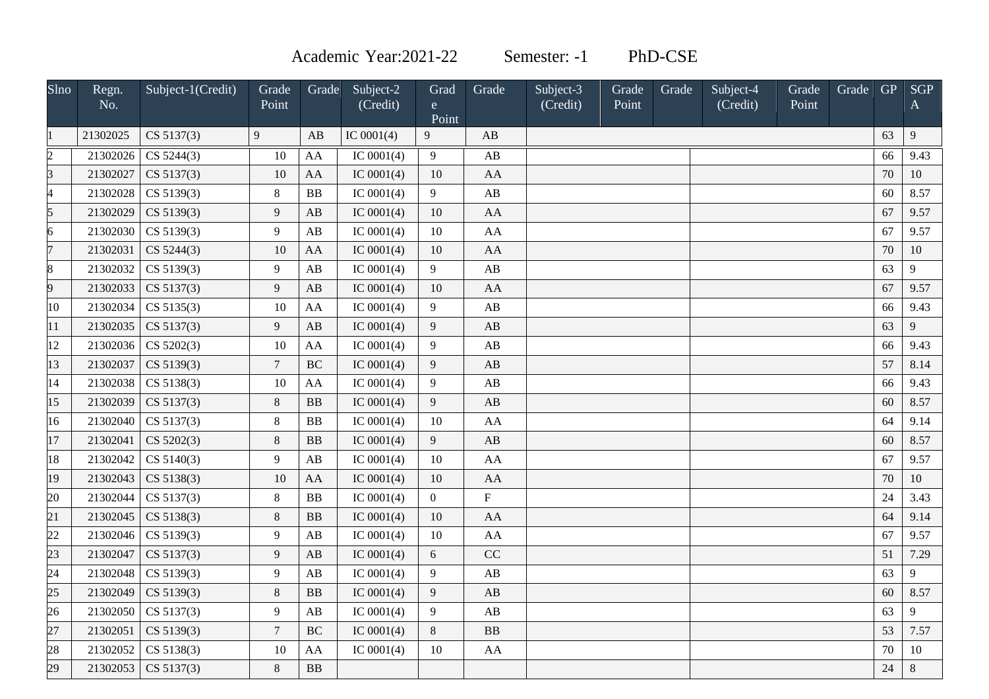Academic Year:2021-22 Semester: -1 PhD-CSE

| Slno           | Regn.<br>No. | Subject-1(Credit)     | Grade<br>Point | Grade     | Subject-2<br>(Credit) | Grad<br>$\mathbf{e}$<br>Point | Grade                  | Subject-3<br>(Credit) | Grade<br>Point | Grade | Subject-4<br>(Credit) | Grade<br>Point | Grade | <b>GP</b> | <b>SGP</b><br>A |
|----------------|--------------|-----------------------|----------------|-----------|-----------------------|-------------------------------|------------------------|-----------------------|----------------|-------|-----------------------|----------------|-------|-----------|-----------------|
|                | 21302025     | CS 5137(3)            | 9              | AB        | IC $0001(4)$          | 9                             | AB                     |                       |                |       |                       |                |       | 63        | 9               |
| $\overline{2}$ | 21302026     | CS 5244(3)            | 10             | AA        | IC $0001(4)$          | 9                             | AB                     |                       |                |       |                       |                |       | 66        | 9.43            |
| $\overline{3}$ | 21302027     | CS 5137(3)            | 10             | AA        | IC $0001(4)$          | 10                            | AA                     |                       |                |       |                       |                |       | 70        | 10              |
| 4              | 21302028     | CS 5139(3)            | $\,8\,$        | BB        | IC $0001(4)$          | 9                             | AB                     |                       |                |       |                       |                |       | 60        | 8.57            |
| 5              | 21302029     | CS 5139(3)            | 9              | AB        | IC $0001(4)$          | 10                            | AA                     |                       |                |       |                       |                |       | 67        | 9.57            |
| 6              | 21302030     | CS 5139(3)            | 9              | AB        | IC $0001(4)$          | 10                            | AA                     |                       |                |       |                       |                |       | 67        | 9.57            |
| $\overline{7}$ | 21302031     | CS 5244(3)            | 10             | AA        | IC $0001(4)$          | 10                            | AA                     |                       |                |       |                       |                |       | $70\,$    | 10              |
| 8              | 21302032     | CS 5139(3)            | 9              | AB        | IC $0001(4)$          | 9                             | AB                     |                       |                |       |                       |                |       | 63        | 9               |
| 9              | 21302033     | CS 5137(3)            | 9              | AB        | IC $0001(4)$          | 10                            | AA                     |                       |                |       |                       |                |       | 67        | 9.57            |
| 10             | 21302034     | CS 5135(3)            | 10             | AA        | IC $0001(4)$          | 9                             | AB                     |                       |                |       |                       |                |       | 66        | 9.43            |
| 11             | 21302035     | CS 5137(3)            | 9              | AB        | IC $0001(4)$          | $\overline{9}$                | AB                     |                       |                |       |                       |                |       | 63        | 9               |
| 12             | 21302036     | CS 5202(3)            | 10             | AA        | IC $0001(4)$          | 9                             | AB                     |                       |                |       |                       |                |       | 66        | 9.43            |
| 13             | 21302037     | CS 5139(3)            | $\overline{7}$ | <b>BC</b> | IC $0001(4)$          | $\overline{9}$                | AB                     |                       |                |       |                       |                |       | 57        | 8.14            |
| 14             | 21302038     | CS 5138(3)            | 10             | AA        | IC $0001(4)$          | $\overline{9}$                | AB                     |                       |                |       |                       |                |       | 66        | 9.43            |
| 15             | 21302039     | CS 5137(3)            | $\,8\,$        | <b>BB</b> | IC $0001(4)$          | $\overline{9}$                | AB                     |                       |                |       |                       |                |       | 60        | 8.57            |
| 16             | 21302040     | CS 5137(3)            | 8              | <b>BB</b> | IC $0001(4)$          | 10                            | AA                     |                       |                |       |                       |                |       | 64        | 9.14            |
| 17             | 21302041     | CS 5202(3)            | 8              | BB        | IC $0001(4)$          | 9                             | AB                     |                       |                |       |                       |                |       | 60        | 8.57            |
| 18             | 21302042     | CS 5140(3)            | 9              | AB        | IC $0001(4)$          | 10                            | AA                     |                       |                |       |                       |                |       | 67        | 9.57            |
| 19             | 21302043     | CS 5138(3)            | 10             | AA        | IC $0001(4)$          | 10                            | AA                     |                       |                |       |                       |                |       | 70        | 10              |
| 20             | 21302044     | CS 5137(3)            | $8\,$          | <b>BB</b> | IC $0001(4)$          | $\boldsymbol{0}$              | $\overline{F}$         |                       |                |       |                       |                |       | 24        | 3.43            |
| 21             | 21302045     | CS 5138(3)            | $\,8\,$        | <b>BB</b> | IC $0001(4)$          | 10                            | AA                     |                       |                |       |                       |                |       | 64        | 9.14            |
| 22             | 21302046     | CS 5139(3)            | 9              | AB        | IC $0001(4)$          | 10                            | AA                     |                       |                |       |                       |                |       | 67        | 9.57            |
| 23             | 21302047     | CS 5137(3)            | 9              | AB        | IC $0001(4)$          | 6                             | CC                     |                       |                |       |                       |                |       | 51        | 7.29            |
| 24             | 21302048     | CS 5139(3)            | 9              | AB        | IC $0001(4)$          | 9                             | $\mathbf{A}\mathbf{B}$ |                       |                |       |                       |                |       | 63        | 9               |
| 25             | 21302049     | CS 5139(3)            | $\,8\,$        | <b>BB</b> | IC $0001(4)$          | 9                             | AB                     |                       |                |       |                       |                |       | 60        | 8.57            |
| 26             | 21302050     | CS 5137(3)            | 9              | AB        | IC $0001(4)$          | 9                             | AB                     |                       |                |       |                       |                |       | 63        | 9               |
| 27             | 21302051     | CS 5139(3)            | $\overline{7}$ | BC        | IC $0001(4)$          | $8\,$                         | B <sub>B</sub>         |                       |                |       |                       |                |       | 53        | 7.57            |
| 28             | 21302052     | CS 5138(3)            | 10             | AA        | IC $0001(4)$          | 10                            | AA                     |                       |                |       |                       |                |       | 70        | 10              |
| 29             |              | 21302053   CS 5137(3) | 8              | <b>BB</b> |                       |                               |                        |                       |                |       |                       |                |       | 24        | $8\,$           |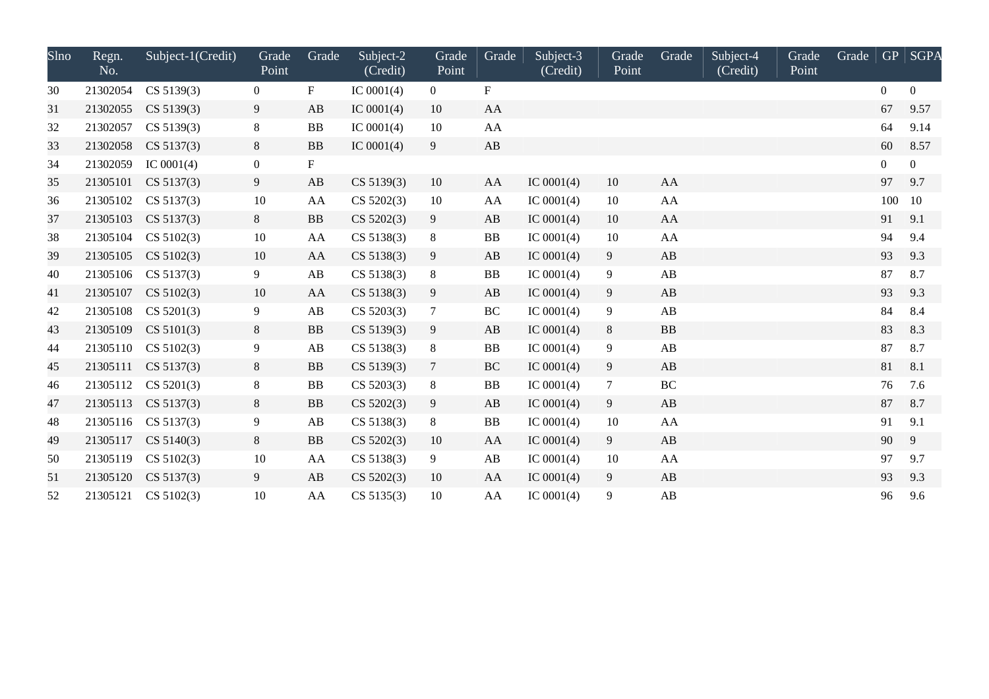| Slno | Regn.<br>No. | Subject-1(Credit) | Grade<br>Point   | Grade                  | Subject-2<br>(Credit) | Grade<br>Point | Grade     | Subject-3<br>(Credit) | Grade<br>Point | Grade                  | Subject-4<br>(Credit) | Grade<br>Point | Grade | <b>GP</b>      | <b>SGPA</b>    |
|------|--------------|-------------------|------------------|------------------------|-----------------------|----------------|-----------|-----------------------|----------------|------------------------|-----------------------|----------------|-------|----------------|----------------|
| 30   | 21302054     | CS 5139(3)        | $\overline{0}$   | F                      | IC $0001(4)$          | $\overline{0}$ | F         |                       |                |                        |                       |                |       | $\Omega$       | $\overline{0}$ |
| 31   | 21302055     | CS 5139(3)        | 9                | AB                     | IC $0001(4)$          | 10             | AA        |                       |                |                        |                       |                |       | 67             | 9.57           |
| 32   | 21302057     | CS 5139(3)        | 8                | BB                     | IC $0001(4)$          | 10             | AA        |                       |                |                        |                       |                |       | 64             | 9.14           |
| 33   | 21302058     | CS 5137(3)        | 8                | <b>BB</b>              | IC $0001(4)$          | 9              | AB        |                       |                |                        |                       |                |       | 60             | 8.57           |
| 34   | 21302059     | IC $0001(4)$      | $\boldsymbol{0}$ | $\mathbf F$            |                       |                |           |                       |                |                        |                       |                |       | $\overline{0}$ | $\overline{0}$ |
| 35   | 21305101     | CS 5137(3)        | 9                | AB                     | CS 5139(3)            | 10             | AA        | IC $0001(4)$          | 10             | AA                     |                       |                |       | 97             | 9.7            |
| 36   | 21305102     | CS 5137(3)        | $10\,$           | AA                     | CS 5202(3)            | 10             | AA        | IC $0001(4)$          | 10             | AA                     |                       |                |       | 100            | 10             |
| 37   | 21305103     | CS 5137(3)        | 8                | ${\bf BB}$             | CS 5202(3)            | 9              | AB        | IC $0001(4)$          | 10             | AA                     |                       |                |       | 91             | 9.1            |
| 38   | 21305104     | CS 5102(3)        | 10               | AA                     | CS 5138(3)            | 8              | <b>BB</b> | IC $0001(4)$          | 10             | ${\rm AA}$             |                       |                |       | 94             | 9.4            |
| 39   | 21305105     | CS 5102(3)        | 10               | AA                     | CS 5138(3)            | 9              | AB        | IC $0001(4)$          | 9              | AB                     |                       |                |       | 93             | 9.3            |
| 40   | 21305106     | CS 5137(3)        | 9                | AB                     | CS 5138(3)            | 8              | <b>BB</b> | IC $0001(4)$          | 9              | AB                     |                       |                |       | 87             | 8.7            |
| 41   | 21305107     | CS 5102(3)        | 10               | AA                     | CS 5138(3)            | 9              | AB        | IC $0001(4)$          | 9              | $\mathbf{A}\mathbf{B}$ |                       |                |       | 93             | 9.3            |
| 42   | 21305108     | CS 5201(3)        | 9                | $\mathbf{A}\mathbf{B}$ | CS 5203(3)            | $\tau$         | $\rm BC$  | IC $0001(4)$          | 9              | AB                     |                       |                |       | 84             | 8.4            |
| 43   | 21305109     | CS 5101(3)        | 8                | <b>BB</b>              | CS 5139(3)            | 9              | AB        | IC $0001(4)$          | 8              | <b>BB</b>              |                       |                |       | 83             | 8.3            |
| 44   | 21305110     | CS 5102(3)        | 9                | AB                     | CS 5138(3)            | 8              | <b>BB</b> | IC $0001(4)$          | 9              | AB                     |                       |                |       | 87             | 8.7            |
| 45   | 21305111     | CS 5137(3)        | 8                | <b>BB</b>              | CS 5139(3)            | $\tau$         | BC        | IC $0001(4)$          | 9              | AB                     |                       |                |       | 81             | 8.1            |
| 46   | 21305112     | CS 5201(3)        | $8\,$            | BB                     | CS 5203(3)            | 8              | <b>BB</b> | IC $0001(4)$          | $\tau$         | $\rm BC$               |                       |                |       | 76             | 7.6            |
| 47   | 21305113     | CS 5137(3)        | 8                | <b>BB</b>              | CS 5202(3)            | 9              | AB        | IC $0001(4)$          | 9              | AB                     |                       |                |       | 87             | 8.7            |
| 48   | 21305116     | CS 5137(3)        | 9                | $\mathbf{A}\mathbf{B}$ | CS 5138(3)            | 8              | <b>BB</b> | IC $0001(4)$          | 10             | AA                     |                       |                |       | 91             | 9.1            |
| 49   | 21305117     | CS 5140(3)        | 8                | <b>BB</b>              | CS 5202(3)            | 10             | AA        | IC $0001(4)$          | 9              | AB                     |                       |                |       | 90             | 9              |
| 50   | 21305119     | CS 5102(3)        | 10               | AA                     | CS 5138(3)            | 9              | AB        | IC $0001(4)$          | 10             | AA                     |                       |                |       | 97             | 9.7            |
| 51   | 21305120     | CS 5137(3)        | 9                | AB                     | CS 5202(3)            | 10             | AA        | IC $0001(4)$          | 9              | AB                     |                       |                |       | 93             | 9.3            |
| 52   | 21305121     | CS 5102(3)        | 10               | AA                     | CS 5135(3)            | 10             | AA        | IC $0001(4)$          | 9              | AB                     |                       |                |       | 96             | 9.6            |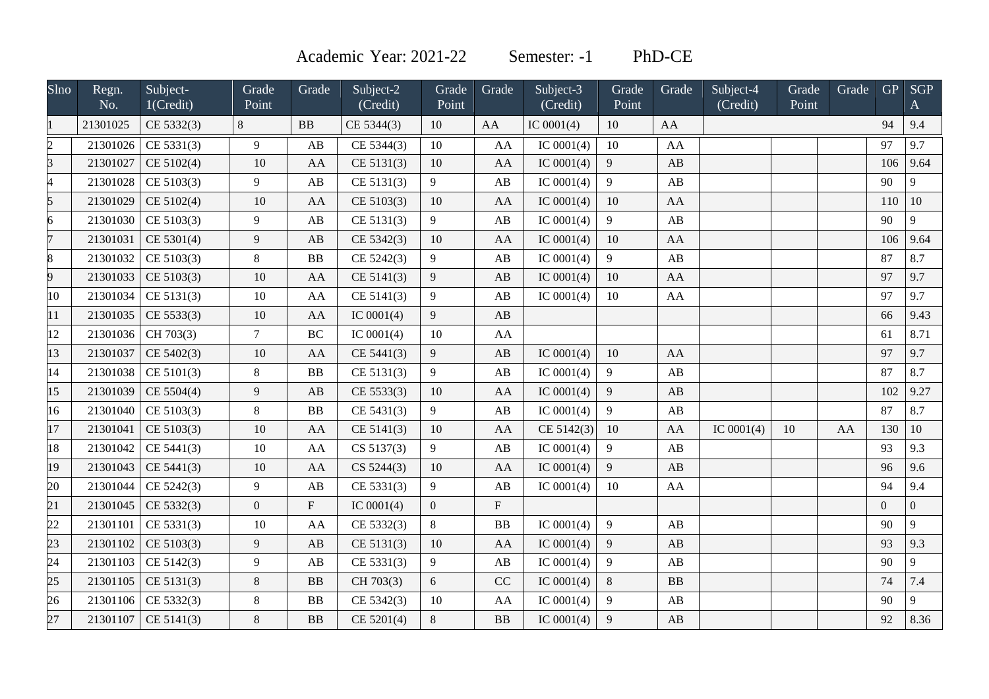Academic Year: 2021-22 Semester: -1 PhD-CE

| $S$ lno        | Regn.<br>No. | Subject-<br>1(Credit) | Grade<br>Point | Grade                     | Subject-2<br>(Credit) | Grade<br>Point | Grade                  | Subject-3<br>(Credit) | Grade<br>Point | Grade                  | Subject-4<br>(Credit) | Grade<br>Point | Grade | GP             | <b>SGP</b><br>$\mathbf{A}$ |
|----------------|--------------|-----------------------|----------------|---------------------------|-----------------------|----------------|------------------------|-----------------------|----------------|------------------------|-----------------------|----------------|-------|----------------|----------------------------|
|                | 21301025     | CE 5332(3)            | 8              | BB                        | CE 5344(3)            | 10             | AA                     | IC $0001(4)$          | 10             | AA                     |                       |                |       | 94             | 9.4                        |
| $\overline{c}$ | 21301026     | CE 5331(3)            | 9              | AB                        | CE 5344(3)            | 10             | AA                     | IC $0001(4)$          | 10             | AA                     |                       |                |       | 97             | 9.7                        |
| 3              | 21301027     | CE 5102(4)            | 10             | AA                        | CE 5131(3)            | 10             | AA                     | IC $0001(4)$          | 9              | AB                     |                       |                |       | 106            | 9.64                       |
| 4              | 21301028     | CE 5103(3)            | 9              | $\mathbf{A}\mathbf{B}$    | CE 5131(3)            | 9              | AB                     | IC $0001(4)$          | 9              | AB                     |                       |                |       | 90             | 9                          |
| 5              | 21301029     | CE 5102(4)            | 10             | AA                        | CE 5103(3)            | 10             | AA                     | IC $0001(4)$          | 10             | AA                     |                       |                |       | 110            | 10                         |
| 6              | 21301030     | CE 5103(3)            | 9              | AB                        | CE 5131(3)            | 9              | AB                     | IC $0001(4)$          | 9              | AB                     |                       |                |       | 90             | 9                          |
| 7              | 21301031     | CE 5301(4)            | 9              | AB                        | CE 5342(3)            | 10             | AA                     | IC $0001(4)$          | 10             | AA                     |                       |                |       | 106            | 9.64                       |
| 8              | 21301032     | CE 5103(3)            | 8              | <b>BB</b>                 | CE 5242(3)            | 9              | AB                     | IC $0001(4)$          | 9              | AB                     |                       |                |       | 87             | 8.7                        |
| 9              | 21301033     | CE 5103(3)            | 10             | AA                        | CE 5141(3)            | 9              | AB                     | IC $0001(4)$          | 10             | AA                     |                       |                |       | 97             | 9.7                        |
| 10             | 21301034     | CE 5131(3)            | 10             | ${\bf AA}$                | CE 5141(3)            | 9              | AB                     | IC $0001(4)$          | 10             | AA                     |                       |                |       | 97             | 9.7                        |
| 11             | 21301035     | CE 5533(3)            | 10             | AA                        | IC $0001(4)$          | 9              | AB                     |                       |                |                        |                       |                |       | 66             | 9.43                       |
| 12             | 21301036     | CH 703(3)             | $\tau$         | <b>BC</b>                 | IC $0001(4)$          | 10             | AA                     |                       |                |                        |                       |                |       | 61             | 8.71                       |
| 13             | 21301037     | CE 5402(3)            | 10             | AA                        | CE 5441(3)            | 9              | AB                     | IC $0001(4)$          | 10             | AA                     |                       |                |       | 97             | 9.7                        |
| 14             | 21301038     | CE 5101(3)            | 8              | BB                        | CE 5131(3)            | 9              | $\mathbf{A}\mathbf{B}$ | IC $0001(4)$          | 9              | AB                     |                       |                |       | 87             | 8.7                        |
| 15             | 21301039     | CE 5504(4)            | 9              | AB                        | CE 5533(3)            | 10             | AA                     | IC $0001(4)$          | 9              | AB                     |                       |                |       | 102            | 9.27                       |
| 16             | 21301040     | CE 5103(3)            | 8              | BB                        | CE 5431(3)            | 9              | AB                     | IC $0001(4)$          | 9              | AB                     |                       |                |       | 87             | 8.7                        |
| 17             | 21301041     | CE 5103(3)            | 10             | AA                        | CE 5141(3)            | 10             | AA                     | CE 5142(3)            | 10             | AA                     | IC $0001(4)$          | 10             | AA    | 130            | 10                         |
| 18             | 21301042     | CE 5441(3)            | $10\,$         | AA                        | CS 5137(3)            | 9              | AB                     | IC $0001(4)$          | 9              | AB                     |                       |                |       | 93             | 9.3                        |
| 19             | 21301043     | CE 5441(3)            | 10             | AA                        | CS 5244(3)            | 10             | AA                     | IC $0001(4)$          | 9              | AB                     |                       |                |       | 96             | 9.6                        |
| 20             | 21301044     | CE 5242(3)            | 9              | AB                        | CE 5331(3)            | 9              | AB                     | IC $0001(4)$          | 10             | AA                     |                       |                |       | 94             | 9.4                        |
| 21             | 21301045     | CE 5332(3)            | $\overline{0}$ | $\boldsymbol{\mathrm{F}}$ | IC $0001(4)$          | $\mathbf{0}$   | $\mathbf{F}$           |                       |                |                        |                       |                |       | $\overline{0}$ | $\boldsymbol{0}$           |
| 22             | 21301101     | CE 5331(3)            | 10             | AA                        | CE 5332(3)            | 8              | <b>BB</b>              | IC $0001(4)$          | 9              | AB                     |                       |                |       | 90             | 9                          |
| 23             | 21301102     | CE 5103(3)            | 9              | AB                        | CE 5131(3)            | 10             | AA                     | IC $0001(4)$          | 9              | AB                     |                       |                |       | 93             | 9.3                        |
| 24             | 21301103     | CE 5142(3)            | 9              | AB                        | CE 5331(3)            | 9              | $\mathbf{A}\mathbf{B}$ | IC $0001(4)$          | 9              | AB                     |                       |                |       | 90             | 9                          |
| 25             | 21301105     | CE 5131(3)            | $\,8\,$        | BB                        | CH 703(3)             | 6              | CC                     | IC $0001(4)$          | 8              | <b>BB</b>              |                       |                |       | 74             | 7.4                        |
| 26             | 21301106     | CE 5332(3)            | 8              | ${\bf BB}$                | CE 5342(3)            | 10             | AA                     | IC $0001(4)$          | 9              | $\mathbf{A}\mathbf{B}$ |                       |                |       | 90             | 9                          |
| 27             | 21301107     | CE 5141(3)            | 8              | <b>BB</b>                 | CE 5201(4)            | 8              | B <sub>B</sub>         | IC $0001(4)$          | 9              | AB                     |                       |                |       | 92             | 8.36                       |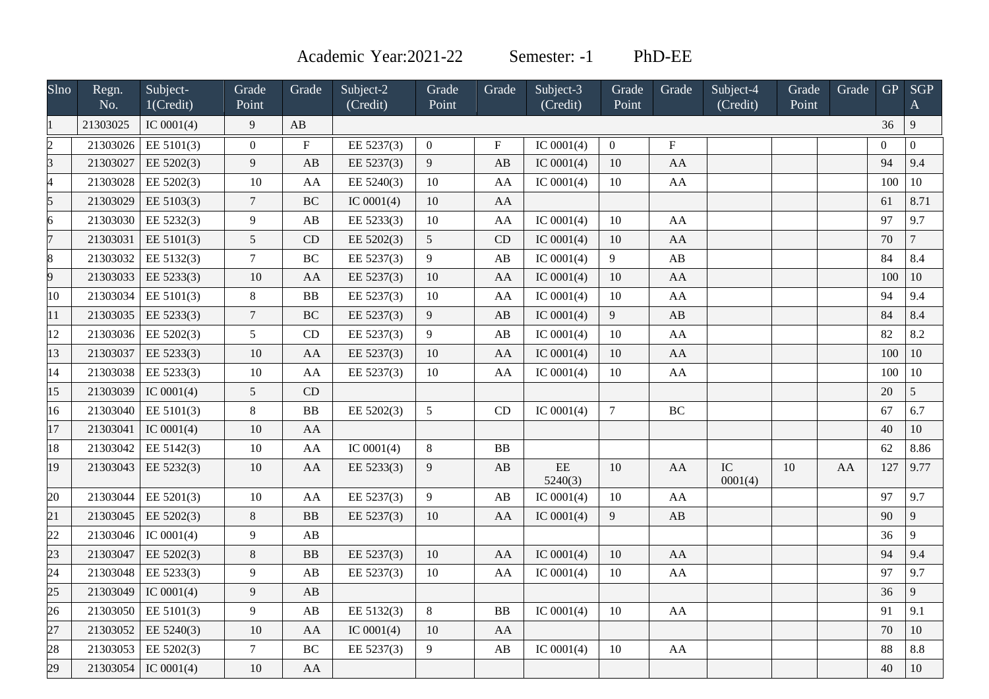Academic Year: 2021-22 Semester: -1 PhD-EE

| $S$ lno        | Regn.<br>No. | Subject-<br>1(Credit) | Grade<br>Point  | Grade                   | Subject-2<br>(Credit)   | Grade<br>Point  | Grade                   | Subject-3<br>(Credit) | Grade<br>Point | Grade       | Subject-4<br>(Credit) | Grade<br>Point | Grade | <b>GP</b>      | <b>SGP</b><br>$\mathbf{A}$ |
|----------------|--------------|-----------------------|-----------------|-------------------------|-------------------------|-----------------|-------------------------|-----------------------|----------------|-------------|-----------------------|----------------|-------|----------------|----------------------------|
|                | 21303025     | IC $0001(4)$          | 9               | AB                      |                         |                 |                         |                       |                |             |                       |                |       | 36             | $\overline{9}$             |
| $\overline{2}$ | 21303026     | EE 5101(3)            | $\mathbf{0}$    | $\overline{\mathrm{F}}$ | $\overline{EE 5237(3)}$ | $\overline{0}$  | $\overline{\mathrm{F}}$ | IC $0001(4)$          | $\overline{0}$ | $\mathbf F$ |                       |                |       | $\overline{0}$ | $\overline{0}$             |
| R              | 21303027     | EE 5202(3)            | $\overline{9}$  | AB                      | EE 5237(3)              | $\overline{9}$  | AB                      | IC $0001(4)$          | 10             | AA          |                       |                |       | 94             | 9.4                        |
|                | 21303028     | EE 5202(3)            | 10              | AA                      | EE 5240(3)              | 10              | AA                      | IC $0001(4)$          | 10             | AA          |                       |                |       | 100            | 10                         |
|                | 21303029     | EE 5103(3)            | $\overline{7}$  | BC                      | IC $0001(4)$            | 10              | AA                      |                       |                |             |                       |                |       | 61             | 8.71                       |
|                | 21303030     | EE 5232(3)            | 9               | AB                      | EE 5233(3)              | 10              | AA                      | IC $0001(4)$          | 10             | AA          |                       |                |       | 97             | 9.7                        |
|                | 21303031     | EE 5101(3)            | $5\overline{)}$ | CD                      | EE 5202(3)              | $5\overline{)}$ | CD                      | IC $0001(4)$          | 10             | AA          |                       |                |       | 70             | $\overline{7}$             |
|                | 21303032     | EE 5132(3)            | $\overline{7}$  | <b>BC</b>               | EE 5237(3)              | 9               | AB                      | IC $0001(4)$          | 9              | AB          |                       |                |       | 84             | 8.4                        |
| 9              | 21303033     | EE 5233(3)            | 10              | AA                      | EE 5237(3)              | 10              | AA                      | IC $0001(4)$          | $10\,$         | ${\rm AA}$  |                       |                |       | 100            | 10                         |
| 10             | 21303034     | EE 5101(3)            | $8\,$           | ${\bf BB}$              | EE 5237(3)              | 10              | AA                      | IC $0001(4)$          | $10\,$         | AA          |                       |                |       | 94             | 9.4                        |
| 11             | 21303035     | EE 5233(3)            | $\overline{7}$  | BC                      | EE 5237(3)              | $\overline{9}$  | AB                      | IC $0001(4)$          | $\overline{9}$ | AB          |                       |                |       | 84             | 8.4                        |
| 12             | 21303036     | EE 5202(3)            | 5               | CD                      | EE 5237(3)              | 9               | AB                      | IC $0001(4)$          | 10             | ${\rm AA}$  |                       |                |       | 82             | 8.2                        |
| 13             | 21303037     | EE 5233(3)            | 10              | AA                      | EE 5237(3)              | 10              | AA                      | IC $0001(4)$          | $10\,$         | ${\rm AA}$  |                       |                |       | 100            | 10                         |
| 14             | 21303038     | EE 5233(3)            | $10\,$          | AA                      | EE 5237(3)              | 10              | AA                      | IC $0001(4)$          | 10             | AA          |                       |                |       | 100            | $10\,$                     |
| 15             | 21303039     | IC $0001(4)$          | $\mathfrak{S}$  | CD                      |                         |                 |                         |                       |                |             |                       |                |       | 20             | $\overline{5}$             |
| 16             | 21303040     | EE 5101(3)            | 8               | BB                      | EE 5202(3)              | 5 <sup>5</sup>  | CD                      | IC $0001(4)$          | $\overline{7}$ | <b>BC</b>   |                       |                |       | 67             | 6.7                        |
| 17             | 21303041     | IC $0001(4)$          | $10\,$          | AA                      |                         |                 |                         |                       |                |             |                       |                |       | 40             | 10                         |
| 18             | 21303042     | EE 5142(3)            | $10\,$          | ${\bf AA}$              | IC $0001(4)$            | $8\,$           | ${\bf BB}$              |                       |                |             |                       |                |       | 62             | 8.86                       |
| 19             | 21303043     | EE 5232(3)            | 10              | AA                      | EE 5233(3)              | 9               | $\mathbf{A}\mathbf{B}$  | $\rm{EE}$<br>5240(3)  | 10             | AA          | IC<br>0001(4)         | 10             | AA    | 127            | 9.77                       |
| 20             | 21303044     | EE 5201(3)            | 10              | AA                      | EE 5237(3)              | 9               | AB                      | IC $0001(4)$          | 10             | AA          |                       |                |       | 97             | 9.7                        |
| 21             | 21303045     | EE 5202(3)            | $8\,$           | ${\bf BB}$              | EE 5237(3)              | 10              | AA                      | IC $0001(4)$          | $\overline{9}$ | AB          |                       |                |       | 90             | 9                          |
| 22             | 21303046     | IC $0001(4)$          | $\overline{9}$  | AB                      |                         |                 |                         |                       |                |             |                       |                |       | 36             | 9                          |
| 23             | 21303047     | EE 5202(3)            | $\,8\,$         | BB                      | EE 5237(3)              | 10              | AA                      | IC $0001(4)$          | 10             | AA          |                       |                |       | 94             | 9.4                        |
| 24             | 21303048     | EE 5233(3)            | 9               | AB                      | EE 5237(3)              | 10              | AA                      | IC $0001(4)$          | 10             | AA          |                       |                |       | 97             | 9.7                        |
| 25             | 21303049     | IC $0001(4)$          | $\overline{9}$  | AB                      |                         |                 |                         |                       |                |             |                       |                |       | 36             | 9                          |
| 26             | 21303050     | EE 5101(3)            | 9               | AB                      | EE 5132(3)              | $8\,$           | ${\bf BB}$              | IC $0001(4)$          | $10\,$         | AA          |                       |                |       | 91             | 9.1                        |
| 27             | 21303052     | EE 5240(3)            | 10              | AA                      | IC $0001(4)$            | 10              | AA                      |                       |                |             |                       |                |       | 70             | 10                         |
| 28             | 21303053     | EE 5202(3)            | $\overline{7}$  | $\rm BC$                | EE 5237(3)              | 9               | AB                      | IC $0001(4)$          | 10             | AA          |                       |                |       | 88             | 8.8                        |
| 29             | 21303054     | IC $0001(4)$          | 10              | ${\rm AA}$              |                         |                 |                         |                       |                |             |                       |                |       | 40             | 10                         |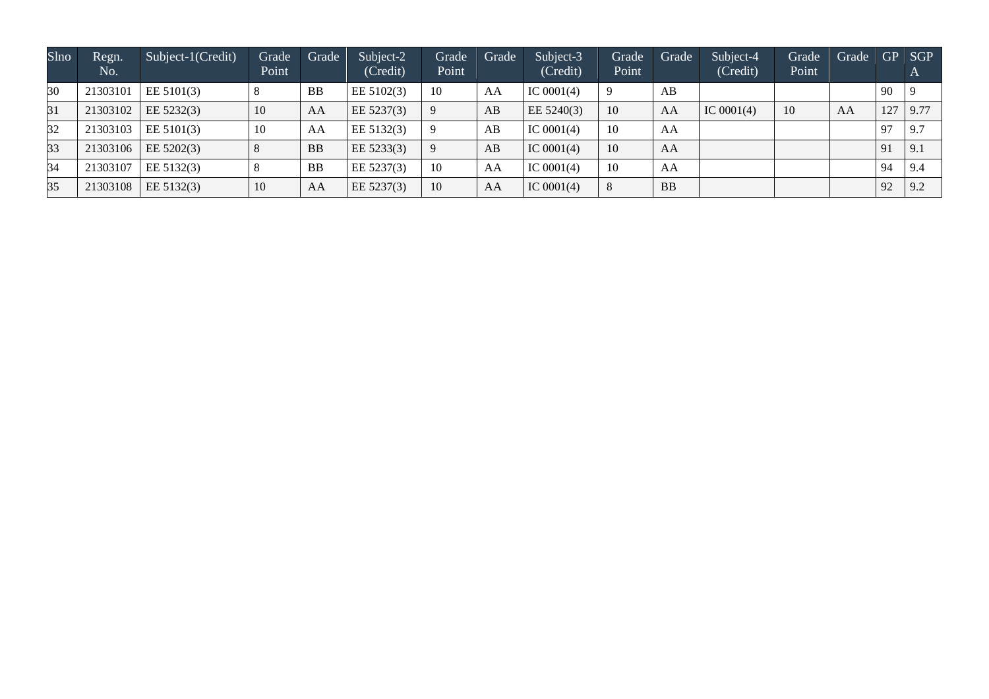| <b>Slno</b> | Regn.<br>No. | Subject-1(Credit) | Grade<br>Point | Grade     | Subject-2<br>(Credit) | Grade<br>Point | Grade | Subject-3<br>(Credit) | Grade<br>Point | Grade     | Subject-4<br>(Credit) | <b>Grade</b><br>Point | Grade |     | GP SGP<br>$\mathbf{A}$ |
|-------------|--------------|-------------------|----------------|-----------|-----------------------|----------------|-------|-----------------------|----------------|-----------|-----------------------|-----------------------|-------|-----|------------------------|
| 30          | 21303101     | EE 5101(3)        |                | <b>BB</b> | EE 5102(3)            | -10            | AA    | IC $0001(4)$          |                | AB        |                       |                       |       | 90  |                        |
| 31          | 21303102     | EE 5232(3)        | 10             | AA        | EE 5237(3)            | -9             | AB    | EE 5240(3)            | 10             | AA        | IC $0001(4)$          | 10                    | AA    | 127 | 9.77                   |
| 32          | 21303103     | EE $5101(3)$      | 10             | AA        | EE 5132(3)            | -9             | AB    | IC $0001(4)$          | 10             | AA        |                       |                       |       | 97  | 9.7                    |
| 33          | 21303106     | EE $5202(3)$      |                | <b>BB</b> | EE 5233(3)            | -9             | AB    | IC $0001(4)$          | 10             | AA        |                       |                       |       | 91  | 9.1                    |
| 34          | 21303107     | EE 5132(3)        |                | <b>BB</b> | EE 5237(3)            | -10            | AA    | IC $0001(4)$          | 10             | AA        |                       |                       |       | 94  | 9.4                    |
| 35          | 21303108     | EE 5132(3)        | 10             | AA        | EE 5237(3)            | 10             | AA    | IC $0001(4)$          |                | <b>BB</b> |                       |                       |       | 92  | 9.2                    |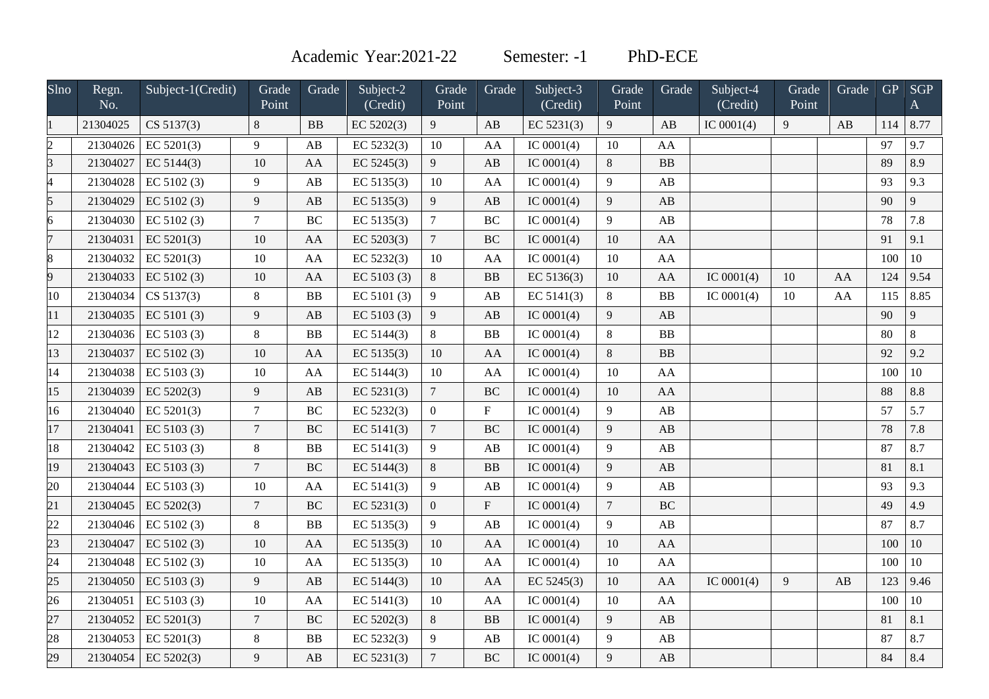Academic Year:2021-22 Semester: -1 PhD-ECE

| Slno            | Regn.<br>No. | Subject-1(Credit) | Grade<br>Point | Grade                  | Subject-2<br>(Credit) | Grade<br>Point   | Grade          | Subject-3<br>(Credit) | Grade<br>Point | Grade                  | Subject-4<br>(Credit) | Grade<br>Point | Grade | <b>GP</b> | <b>SGP</b><br>A |
|-----------------|--------------|-------------------|----------------|------------------------|-----------------------|------------------|----------------|-----------------------|----------------|------------------------|-----------------------|----------------|-------|-----------|-----------------|
|                 | 21304025     | CS 5137(3)        | 8              | <b>BB</b>              | EC 5202(3)            | 9                | AB             | EC $5231(3)$          | 9              | AB                     | IC $0001(4)$          | 9              | AB    | 114       | 8.77            |
| $\overline{2}$  | 21304026     | EC 5201(3)        | 9              | AB                     | EC 5232(3)            | 10               | AA             | IC $0001(4)$          | 10             | AA                     |                       |                |       | 97        | 9.7             |
| $\overline{3}$  | 21304027     | EC $5144(3)$      | 10             | AA                     | EC $5245(3)$          | 9                | AB             | IC $0001(4)$          | 8              | BB                     |                       |                |       | 89        | 8.9             |
| $\overline{4}$  | 21304028     | EC $5102(3)$      | 9              | $\mathbf{A}\mathbf{B}$ | EC 5135(3)            | 10               | AA             | IC $0001(4)$          | 9              | AB                     |                       |                |       | 93        | 9.3             |
| 5               | 21304029     | EC 5102(3)        | 9              | AB                     | EC 5135(3)            | $\boldsymbol{9}$ | AB             | IC $0001(4)$          | 9              | AB                     |                       |                |       | 90        | 9               |
| 6               | 21304030     | EC $5102(3)$      | $\tau$         | BC                     | EC 5135(3)            | $\boldsymbol{7}$ | $\rm BC$       | IC $0001(4)$          | 9              | $\mathbf{A}\mathbf{B}$ |                       |                |       | 78        | 7.8             |
| 7               | 21304031     | EC 5201(3)        | 10             | AA                     | EC 5203(3)            | $\tau$           | <b>BC</b>      | IC $0001(4)$          | 10             | AA                     |                       |                |       | 91        | 9.1             |
| 8               | 21304032     | EC 5201(3)        | $10\,$         | AA                     | EC 5232(3)            | $10\,$           | AA             | IC $0001(4)$          | 10             | AA                     |                       |                |       | 100       | 10              |
| 9               | 21304033     | EC 5102(3)        | 10             | AA                     | EC 5103 (3)           | 8                | BB             | EC 5136(3)            | 10             | AA                     | IC $0001(4)$          | 10             | AA    | 124       | 9.54            |
| 10              | 21304034     | CS 5137(3)        | $\,8\,$        | ${\bf BB}$             | EC 5101 (3)           | $\overline{9}$   | AB             | EC 5141(3)            | 8              | ${\bf BB}$             | IC $0001(4)$          | 10             | AA    | 115       | 8.85            |
| 11              | 21304035     | EC 5101(3)        | 9              | AB                     | EC 5103 (3)           | $\overline{9}$   | AB             | IC $0001(4)$          | 9              | AB                     |                       |                |       | 90        | 9               |
| 12              | 21304036     | EC 5103 (3)       | $\,8\,$        | ${\bf BB}$             | EC 5144(3)            | $\,8\,$          | B <sub>B</sub> | IC $0001(4)$          | $8\,$          | ${\bf BB}$             |                       |                |       | 80        | $8\,$           |
| 13              | 21304037     | EC 5102(3)        | 10             | AA                     | EC 5135(3)            | 10               | AA             | IC $0001(4)$          | 8              | BB                     |                       |                |       | 92        | 9.2             |
| 14              | 21304038     | EC 5103 (3)       | 10             | ${\rm AA}$             | EC 5144(3)            | 10               | AA             | IC $0001(4)$          | 10             | AA                     |                       |                |       | 100       | 10              |
| 15              | 21304039     | EC 5202(3)        | 9              | AB                     | EC $5231(3)$          | $\boldsymbol{7}$ | <b>BC</b>      | IC $0001(4)$          | 10             | AA                     |                       |                |       | 88        | 8.8             |
| 16              | 21304040     | EC 5201(3)        | $\overline{7}$ | BC                     | EC 5232(3)            | $\mathbf{0}$     | $\mathbf{F}$   | IC $0001(4)$          | 9              | AB                     |                       |                |       | 57        | 5.7             |
| 17              | 21304041     | EC 5103 $(3)$     | $\overline{7}$ | $\rm BC$               | EC 5141(3)            | $\overline{7}$   | <b>BC</b>      | IC $0001(4)$          | 9              | AB                     |                       |                |       | 78        | 7.8             |
| 18              | 21304042     | EC 5103 (3)       | $8\,$          | ${\bf BB}$             | EC $5141(3)$          | $\overline{9}$   | AB             | IC $0001(4)$          | 9              | AB                     |                       |                |       | 87        | 8.7             |
| 19              | 21304043     | EC 5103(3)        | $\overline{7}$ | <b>BC</b>              | EC 5144(3)            | $\,8\,$          | <b>BB</b>      | IC $0001(4)$          | 9              | AB                     |                       |                |       | 81        | 8.1             |
| 20              | 21304044     | EC 5103 (3)       | 10             | AA                     | EC 5141(3)            | $\overline{9}$   | AB             | IC $0001(4)$          | 9              | $\mathbf{A}\mathbf{B}$ |                       |                |       | 93        | 9.3             |
| $\overline{21}$ | 21304045     | EC 5202(3)        | $\overline{7}$ | $\rm BC$               | EC 5231(3)            | $\overline{0}$   | $\mathbf{F}$   | IC $0001(4)$          | $\overline{7}$ | <b>BC</b>              |                       |                |       | 49        | 4.9             |
| 22              | 21304046     | EC 5102 (3)       | $\,8\,$        | ${\bf BB}$             | EC 5135(3)            | 9                | AB             | IC $0001(4)$          | 9              | AB                     |                       |                |       | 87        | 8.7             |
| 23              | 21304047     | EC 5102(3)        | 10             | AA                     | EC 5135(3)            | 10               | AA             | IC $0001(4)$          | 10             | AA                     |                       |                |       | 100       | 10              |
| $\overline{24}$ | 21304048     | EC 5102(3)        | 10             | AA                     | EC 5135(3)            | 10               | AA             | IC $0001(4)$          | 10             | ${\bf AA}$             |                       |                |       | 100       | 10              |
| 25              | 21304050     | EC 5103 $(3)$     | 9              | AB                     | EC 5144(3)            | 10               | AA             | EC 5245(3)            | 10             | AA                     | IC $0001(4)$          | 9              | AB    | 123       | 9.46            |
| 26              | 21304051     | EC 5103 $(3)$     | 10             | AA                     | EC 5141(3)            | 10               | AA             | IC $0001(4)$          | 10             | AA                     |                       |                |       | 100       | 10              |
| 27              | 21304052     | EC 5201(3)        | $\overline{7}$ | $\rm BC$               | EC 5202(3)            | $8\,$            | <b>BB</b>      | IC $0001(4)$          | 9              | $\mathbf{A}\mathbf{B}$ |                       |                |       | 81        | 8.1             |
| 28              | 21304053     | EC 5201(3)        | $\,8\,$        | ${\bf BB}$             | EC 5232(3)            | $\overline{9}$   | AB             | IC $0001(4)$          | 9              | $\mathbf{A}\mathbf{B}$ |                       |                |       | 87        | 8.7             |
| 29              | 21304054     | EC 5202(3)        | 9              | AB                     | EC 5231(3)            | $\overline{7}$   | <b>BC</b>      | IC $0001(4)$          | 9              | AB                     |                       |                |       | 84        | 8.4             |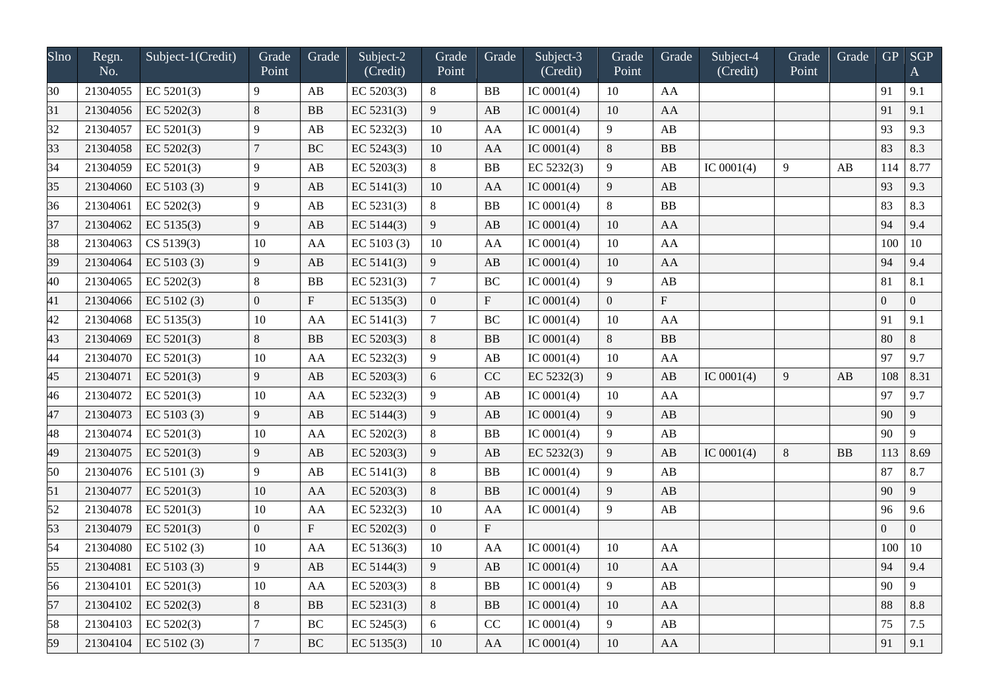| Slno            | Regn.<br>No. | Subject-1(Credit) | Grade<br>Point   | Grade                     | Subject-2<br>(Credit) | Grade<br>Point  | Grade          | Subject-3<br>(Credit) | Grade<br>Point | Grade                     | Subject-4<br>(Credit) | Grade<br>Point | Grade | GP             | <b>SGP</b><br>$\mathbf{A}$ |
|-----------------|--------------|-------------------|------------------|---------------------------|-----------------------|-----------------|----------------|-----------------------|----------------|---------------------------|-----------------------|----------------|-------|----------------|----------------------------|
| 30              | 21304055     | EC $5201(3)$      | 9                | AB                        | EC 5203(3)            | $8\phantom{.0}$ | B <sub>B</sub> | IC $0001(4)$          | 10             | AA                        |                       |                |       | 91             | 9.1                        |
| 31              | 21304056     | EC 5202(3)        | 8                | <b>BB</b>                 | EC 5231(3)            | 9               | AB             | IC $0001(4)$          | 10             | AA                        |                       |                |       | 91             | 9.1                        |
| 32              | 21304057     | EC 5201(3)        | 9                | AB                        | EC 5232(3)            | 10              | AA             | IC $0001(4)$          | 9              | AB                        |                       |                |       | 93             | 9.3                        |
| 33              | 21304058     | EC 5202(3)        | $\overline{7}$   | <b>BC</b>                 | EC 5243(3)            | 10              | AA             | IC $0001(4)$          | $\,8\,$        | <b>BB</b>                 |                       |                |       | 83             | 8.3                        |
| 34              | 21304059     | EC 5201(3)        | 9                | AB                        | EC 5203(3)            | $8\,$           | B <sub>B</sub> | EC 5232(3)            | 9              | AB                        | IC $0001(4)$          | 9              | AB    | 114            | 8.77                       |
| 35              | 21304060     | EC 5103 (3)       | 9                | $\mathbf{A}\mathbf{B}$    | EC 5141(3)            | 10              | AA             | IC $0001(4)$          | 9              | AB                        |                       |                |       | 93             | 9.3                        |
| 36              | 21304061     | EC 5202(3)        | 9                | AB                        | EC 5231(3)            | $\, 8$          | B <sub>B</sub> | IC $0001(4)$          | 8              | BB                        |                       |                |       | 83             | 8.3                        |
| 37              | 21304062     | EC 5135(3)        | 9                | AB                        | EC 5144(3)            | $\overline{9}$  | AB             | IC $0001(4)$          | 10             | AA                        |                       |                |       | 94             | 9.4                        |
| 38              | 21304063     | CS 5139(3)        | 10               | AA                        | EC 5103 (3)           | 10              | AA             | IC $0001(4)$          | 10             | AA                        |                       |                |       | 100            | $10\,$                     |
| 39              | 21304064     | EC 5103 (3)       | 9                | AB                        | EC 5141(3)            | 9               | AB             | IC $0001(4)$          | 10             | AA                        |                       |                |       | 94             | 9.4                        |
| 40              | 21304065     | EC 5202(3)        | 8                | BB                        | EC 5231(3)            | $\overline{7}$  | <b>BC</b>      | IC $0001(4)$          | 9              | AB                        |                       |                |       | 81             | 8.1                        |
| 41              | 21304066     | EC 5102(3)        | $\boldsymbol{0}$ | ${\bf F}$                 | EC 5135(3)            | $\mathbf{0}$    | $\mathbf{F}$   | IC $0001(4)$          | $\overline{0}$ | $\boldsymbol{\mathrm{F}}$ |                       |                |       | $\overline{0}$ | $\overline{0}$             |
| 42              | 21304068     | EC 5135(3)        | $10\,$           | AA                        | EC 5141(3)            | $\overline{7}$  | <b>BC</b>      | IC $0001(4)$          | 10             | AA                        |                       |                |       | 91             | 9.1                        |
| 43              | 21304069     | EC 5201(3)        | $\,8\,$          | BB                        | EC 5203(3)            | $\,8\,$         | B <sub>B</sub> | IC $0001(4)$          | 8              | ${\bf BB}$                |                       |                |       | 80             | $8\,$                      |
| 44              | 21304070     | EC $5201(3)$      | 10               | AA                        | EC 5232(3)            | 9               | AB             | IC $0001(4)$          | 10             | AA                        |                       |                |       | 97             | 9.7                        |
| $\overline{45}$ | 21304071     | EC 5201(3)        | 9                | AB                        | EC 5203(3)            | 6               | CC             | EC 5232(3)            | 9              | AB                        | IC $0001(4)$          | 9              | AB    | 108            | 8.31                       |
| 46              | 21304072     | EC 5201(3)        | 10               | AA                        | EC 5232(3)            | $\overline{9}$  | AB             | IC $0001(4)$          | 10             | AA                        |                       |                |       | 97             | 9.7                        |
| 47              | 21304073     | EC 5103 (3)       | 9                | AB                        | EC $5144(3)$          | $\overline{9}$  | AB             | IC $0001(4)$          | 9              | AB                        |                       |                |       | 90             | 9                          |
| 48              | 21304074     | EC 5201(3)        | 10               | AA                        | EC 5202(3)            | $\,8\,$         | B <sub>B</sub> | IC $0001(4)$          | 9              | AB                        |                       |                |       | 90             | 9                          |
| 49              | 21304075     | EC 5201(3)        | 9                | AB                        | EC 5203(3)            | $\overline{9}$  | AB             | EC 5232(3)            | 9              | AB                        | IC $0001(4)$          | $\,8\,$        | BB    | 113            | 8.69                       |
| 50              | 21304076     | EC $5101(3)$      | 9                | AB                        | EC $5141(3)$          | 8               | BB             | IC $0001(4)$          | 9              | AB                        |                       |                |       | 87             | 8.7                        |
| 51              | 21304077     | EC 5201(3)        | $10\,$           | AA                        | EC 5203(3)            | $\,8\,$         | B <sub>B</sub> | IC $0001(4)$          | 9              | AB                        |                       |                |       | 90             | 9                          |
| 52              | 21304078     | EC $5201(3)$      | 10               | AA                        | EC 5232(3)            | 10              | AA             | IC $0001(4)$          | 9              | AB                        |                       |                |       | 96             | 9.6                        |
| 53              | 21304079     | EC 5201(3)        | $\overline{0}$   | $\boldsymbol{\mathrm{F}}$ | EC 5202(3)            | $\overline{0}$  | $\mathbf{F}$   |                       |                |                           |                       |                |       | $\Omega$       | $\overline{0}$             |
| 54              | 21304080     | EC 5102 (3)       | 10               | AA                        | EC 5136(3)            | 10              | AA             | IC $0001(4)$          | 10             | AA                        |                       |                |       | 100            | 10                         |
| $\overline{55}$ | 21304081     | EC $5103(3)$      | 9                | AB                        | EC 5144(3)            | 9               | AB             | IC $0001(4)$          | 10             | AA                        |                       |                |       | 94             | 9.4                        |
| 56              | 21304101     | EC $5201(3)$      | 10               | AA                        | EC $5203(3)$          | $\,8\,$         | BB             | IC $0001(4)$          | 9              | AB                        |                       |                |       | 90             | 9                          |
| 57              | 21304102     | EC 5202(3)        | 8                | ${\bf BB}$                | EC 5231(3)            | $\,8\,$         | BB             | IC $0001(4)$          | 10             | AA                        |                       |                |       | 88             | 8.8                        |
| 58              | 21304103     | EC 5202(3)        | $\overline{7}$   | $\rm BC$                  | EC 5245(3)            | 6               | CC             | IC $0001(4)$          | 9              | AB                        |                       |                |       | 75             | 7.5                        |
| 59              | 21304104     | EC 5102(3)        | $\overline{7}$   | BC                        | EC 5135(3)            | 10              | AA             | IC $0001(4)$          | 10             | AA                        |                       |                |       | 91             | 9.1                        |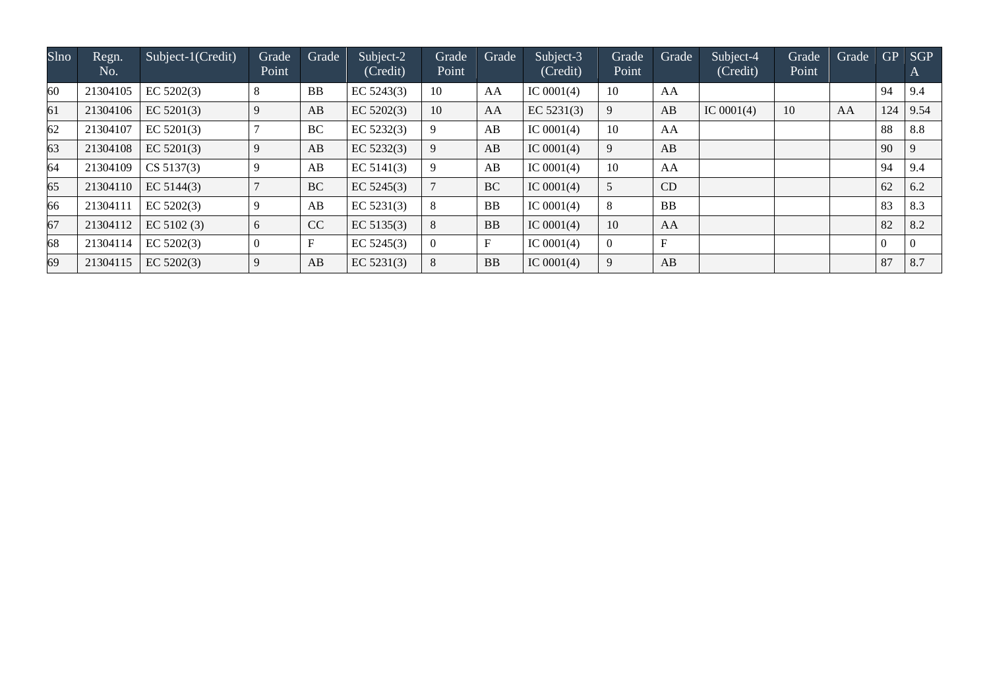| Slno | Regn.<br>No. | Subject-1(Credit) | Grade<br>Point | Grade     | Subject-2<br>(Credit) | Grade<br>Point | Grade     | Subject-3<br>(Credit) | Grade<br>Point | Grade       | Subject-4<br>(Credit) | Grade<br>Point | Grade | GP             | <b>SGP</b><br>$\mathbf{A}$ |
|------|--------------|-------------------|----------------|-----------|-----------------------|----------------|-----------|-----------------------|----------------|-------------|-----------------------|----------------|-------|----------------|----------------------------|
| 60   | 21304105     | EC 5202(3)        |                | <b>BB</b> | EC $5243(3)$          | <b>10</b>      | AA        | IC $0001(4)$          | 10             | AA          |                       |                |       | 94             | 9.4                        |
| 61   | 21304106     | EC 5201(3)        |                | AB        | EC $5202(3)$          | 10             | AA        | EC $5231(3)$          | 9              | AB          | IC $0001(4)$          | 10             | AA    | 124            | 9.54                       |
| 62   | 21304107     | EC $5201(3)$      |                | BC        | EC 5232(3)            | 9              | AB        | IC $0001(4)$          | 10             | AA          |                       |                |       | 88             | 8.8                        |
| 63   | 21304108     | EC 5201(3)        |                | AB        | EC 5232(3)            | 9              | AB        | IC $0001(4)$          | 9              | AB          |                       |                |       | 90             | $\overline{9}$             |
| 64   | 21304109     | CS 5137(3)        |                | AB        | EC $5141(3)$          | 9              | AB        | IC $0001(4)$          | 10             | AA          |                       |                |       | 94             | 9.4                        |
| 65   | 21304110     | EC 5144(3)        |                | <b>BC</b> | EC $5245(3)$          |                | <b>BC</b> | IC $0001(4)$          | 5              | CD          |                       |                |       | 62             | 6.2                        |
| 66   | 21304111     | EC 5202(3)        |                | AB        | EC $5231(3)$          | 8              | <b>BB</b> | IC $0001(4)$          | 8              | <b>BB</b>   |                       |                |       | 83             | 8.3                        |
| 67   | 21304112     | EC 5102(3)        |                | CC        | EC 5135(3)            | 8              | <b>BB</b> | IC $0001(4)$          | 10             | AA          |                       |                |       | 82             | 8.2                        |
| 68   | 21304114     | EC 5202(3)        |                | F         | EC $5245(3)$          | $\overline{0}$ | F         | IC $0001(4)$          | $\theta$       | $\mathbf F$ |                       |                |       | $\overline{0}$ | 0                          |
| 69   | 21304115     | EC 5202(3)        |                | AB        | EC 5231(3)            | 8              | <b>BB</b> | IC $0001(4)$          | 9              | AB          |                       |                |       | 87             | 8.7                        |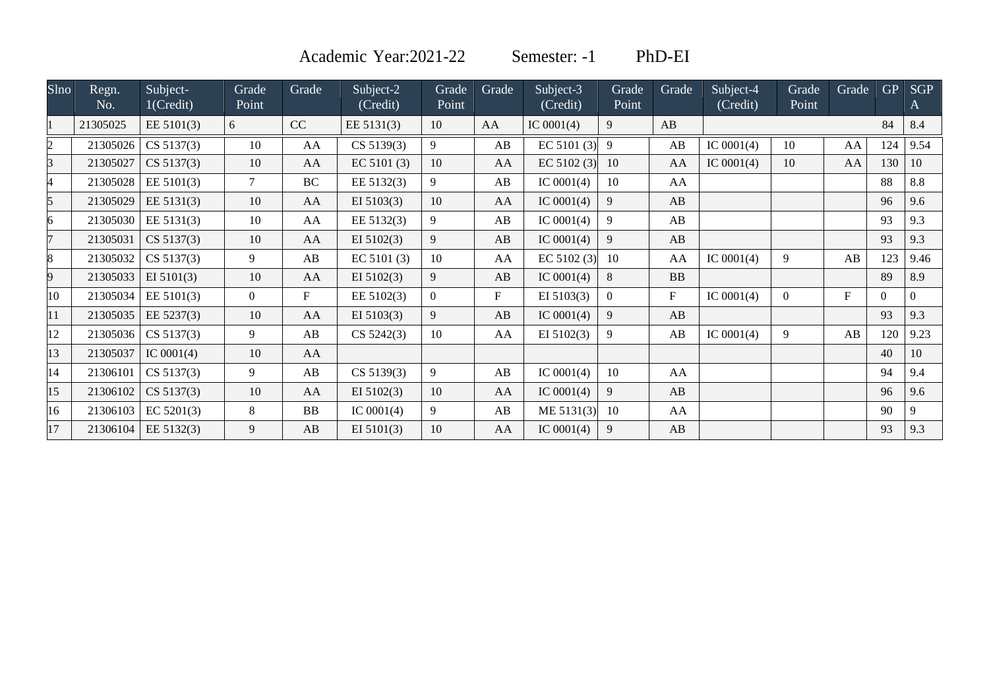Academic Year: 2021-22 Semester: -1 PhD-EI

| Slno | Regn.    | Subject-     | Grade            | Grade     | Subject-2    | Grade          | Grade     | Subject-3     | Grade    | Grade                     | Subject-4    | Grade    | Grade     | <b>GP</b> | <b>SGP</b> |
|------|----------|--------------|------------------|-----------|--------------|----------------|-----------|---------------|----------|---------------------------|--------------|----------|-----------|-----------|------------|
|      | No.      | 1(Credit)    | Point            |           | (Credit)     | Point          |           | (Credit)      | Point    |                           | (Credit)     | Point    |           |           | A          |
|      | 21305025 | EE 5101(3)   | 6                | CC        | EE 5131(3)   | 10             | AA        | IC $0001(4)$  | 9        | AB                        |              |          |           | 84        | 8.4        |
|      | 21305026 | CS 5137(3)   | 10               | AA        | CS 5139(3)   | 9              | AB        | EC 5101 $(3)$ | 9        | AB                        | IC $0001(4)$ | 10       | AA        | 124       | 9.54       |
|      | 21305027 | CS 5137(3)   | 10               | AA        | EC 5101(3)   | 10             | AA        | EC 5102 (3)   | 10       | AA                        | IC $0001(4)$ | 10       | AA        | 130       | 10         |
|      | 21305028 | EE 5101(3)   | $\tau$           | <b>BC</b> | EE 5132(3)   | 9              | AB        | IC $0001(4)$  | 10       | AA                        |              |          |           | 88        | 8.8        |
|      | 21305029 | EE 5131(3)   | 10               | AA        | EI 5103(3)   | 10             | AA        | IC $0001(4)$  | 9        | AB                        |              |          |           | 96        | 9.6        |
|      | 21305030 | EE 5131(3)   | 10               | AA        | EE 5132(3)   | 9              | AB        | IC $0001(4)$  | 9        | AB                        |              |          |           | 93        | 9.3        |
|      | 21305031 | CS 5137(3)   | 10               | AA        | EI $5102(3)$ | 9              | AB        | IC $0001(4)$  | 9        | AB                        |              |          |           | 93        | 9.3        |
|      | 21305032 | CS 5137(3)   | 9                | AB        | EC 5101(3)   | 10             | AA        | EC 5102 $(3)$ | 10       | AA                        | IC $0001(4)$ | 9        | AB        | 123       | 9.46       |
|      | 21305033 | EI $5101(3)$ | 10               | AA        | EI $5102(3)$ | 9              | AB        | IC $0001(4)$  | 8        | <b>BB</b>                 |              |          |           | 89        | 8.9        |
| 10   | 21305034 | EE 5101(3)   | $\boldsymbol{0}$ | $F_{\rm}$ | EE 5102(3)   | $\overline{0}$ | $F_{\rm}$ | EI $5103(3)$  | $\theta$ | $\boldsymbol{\mathrm{F}}$ | IC $0001(4)$ | $\Omega$ | $F_{\rm}$ |           | $\Omega$   |
|      | 21305035 | EE 5237(3)   | 10               | AA        | EI 5103(3)   | 9              | AB        | IC $0001(4)$  | 9        | AB                        |              |          |           | 93        | 9.3        |
| 12   | 21305036 | CS 5137(3)   | 9                | AB        | CS 5242(3)   | 10             | AA        | EI $5102(3)$  | 9        | AB                        | IC $0001(4)$ | 9        | AB        | 120       | 9.23       |
| 13   | 21305037 | IC $0001(4)$ | 10               | AA        |              |                |           |               |          |                           |              |          |           | 40        | 10         |
| 14   | 21306101 | CS 5137(3)   | 9                | AB        | CS 5139(3)   | 9              | AB        | IC $0001(4)$  | 10       | AA                        |              |          |           | 94        | 9.4        |
| 15   | 21306102 | CS 5137(3)   | 10               | AA        | EI $5102(3)$ | 10             | AA        | IC $0001(4)$  | 9        | AB                        |              |          |           | 96        | 9.6        |
| 16   | 21306103 | EC 5201(3)   | 8                | <b>BB</b> | IC $0001(4)$ | 9              | AB        | ME 5131(3)    | 10       | AA                        |              |          |           | 90        | 9          |
| 17   | 21306104 | EE 5132(3)   | 9                | AB        | EI $5101(3)$ | 10             | AA        | IC $0001(4)$  | 9        | AB                        |              |          |           | 93        | 9.3        |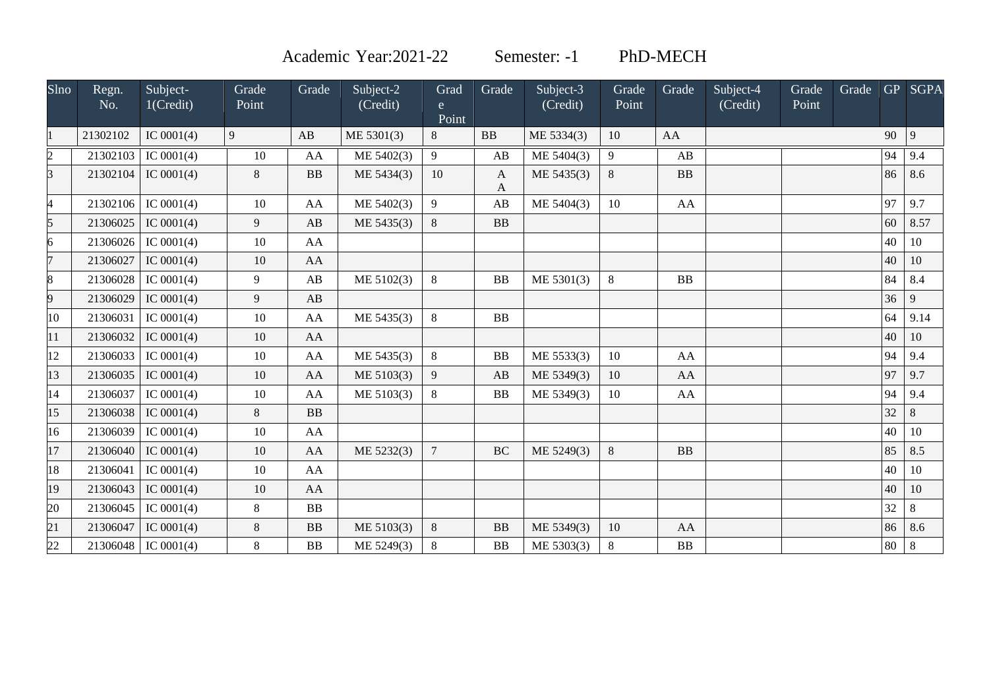Academic Year:2021-22 Semester: -1 PhD-MECH

| Slno            | Regn.<br>No. | Subject-<br>1(Credit) | Grade<br>Point | Grade     | Subject-2<br>(Credit) | Grad<br>e.<br>Point | Grade             | Subject-3<br>(Credit) | Grade<br>Point | Grade     | Subject-4<br>(Credit) | Grade<br>Point | Grade |    | GP SGPA |
|-----------------|--------------|-----------------------|----------------|-----------|-----------------------|---------------------|-------------------|-----------------------|----------------|-----------|-----------------------|----------------|-------|----|---------|
|                 | 21302102     | IC $0001(4)$          | 9              | AB        | ME 5301(3)            | 8                   | <b>BB</b>         | ME 5334(3)            | 10             | AA        |                       |                |       | 90 | 9       |
| $\overline{c}$  | 21302103     | IC $0001(4)$          | 10             | AA        | ME 5402(3)            | 9                   | AB                | ME 5404(3)            | 9              | AB        |                       |                |       | 94 | 9.4     |
| $\overline{3}$  | 21302104     | IC $0001(4)$          | 8              | <b>BB</b> | ME 5434(3)            | 10                  | $\mathbf{A}$<br>A | ME 5435(3)            | $8\,$          | <b>BB</b> |                       |                |       | 86 | 8.6     |
| 4               | 21302106     | IC $0001(4)$          | 10             | AA        | ME 5402(3)            | 9                   | AB                | ME 5404(3)            | 10             | AA        |                       |                |       | 97 | 9.7     |
| 5               | 21306025     | IC $0001(4)$          | 9              | AB        | ME 5435(3)            | 8                   | <b>BB</b>         |                       |                |           |                       |                |       | 60 | 8.57    |
| 6               | 21306026     | IC $0001(4)$          | 10             | AA        |                       |                     |                   |                       |                |           |                       |                |       | 40 | 10      |
| $\overline{7}$  | 21306027     | IC $0001(4)$          | 10             | AA        |                       |                     |                   |                       |                |           |                       |                |       | 40 | 10      |
| 8               | 21306028     | IC $0001(4)$          | 9              | AB        | ME 5102(3)            | $\,8\,$             | <b>BB</b>         | ME 5301(3)            | 8              | <b>BB</b> |                       |                |       | 84 | 8.4     |
| 9               | 21306029     | IC $0001(4)$          | 9              | AB        |                       |                     |                   |                       |                |           |                       |                |       | 36 | 9       |
| 10              | 21306031     | IC $0001(4)$          | 10             | AA        | ME 5435(3)            | $\,8\,$             | BB                |                       |                |           |                       |                |       | 64 | 9.14    |
| 11              | 21306032     | IC $0001(4)$          | 10             | AA        |                       |                     |                   |                       |                |           |                       |                |       | 40 | 10      |
| 12              | 21306033     | IC $0001(4)$          | 10             | AA        | ME 5435(3)            | $\,8\,$             | <b>BB</b>         | ME 5533(3)            | 10             | AA        |                       |                |       | 94 | 9.4     |
| 13              | 21306035     | IC $0001(4)$          | 10             | AA        | ME 5103(3)            | $\overline{9}$      | AB                | ME 5349(3)            | 10             | AA        |                       |                |       | 97 | 9.7     |
| 14              | 21306037     | IC $0001(4)$          | 10             | AA        | ME 5103(3)            | 8                   | <b>BB</b>         | ME 5349(3)            | 10             | AA        |                       |                |       | 94 | 9.4     |
| 15              | 21306038     | IC $0001(4)$          | 8              | BB        |                       |                     |                   |                       |                |           |                       |                |       | 32 | 8       |
| 16              | 21306039     | IC $0001(4)$          | 10             | AA        |                       |                     |                   |                       |                |           |                       |                |       | 40 | 10      |
| 17              | 21306040     | IC $0001(4)$          | 10             | AA        | ME 5232(3)            | $\overline{7}$      | <b>BC</b>         | ME 5249(3)            | $8\,$          | <b>BB</b> |                       |                |       | 85 | 8.5     |
| 18              | 21306041     | IC $0001(4)$          | 10             | AA        |                       |                     |                   |                       |                |           |                       |                |       | 40 | 10      |
| 19              | 21306043     | IC $0001(4)$          | 10             | AA        |                       |                     |                   |                       |                |           |                       |                |       | 40 | 10      |
| 20              | 21306045     | IC $0001(4)$          | $8\,$          | <b>BB</b> |                       |                     |                   |                       |                |           |                       |                |       | 32 | 8       |
| $\overline{21}$ | 21306047     | IC $0001(4)$          | 8              | <b>BB</b> | ME 5103(3)            | $8\,$               | <b>BB</b>         | ME 5349(3)            | 10             | AA        |                       |                |       | 86 | 8.6     |
| 22              | 21306048     | IC $0001(4)$          | 8              | <b>BB</b> | ME 5249(3)            | 8                   | <b>BB</b>         | ME 5303(3)            | 8              | BB        |                       |                |       | 80 | 8       |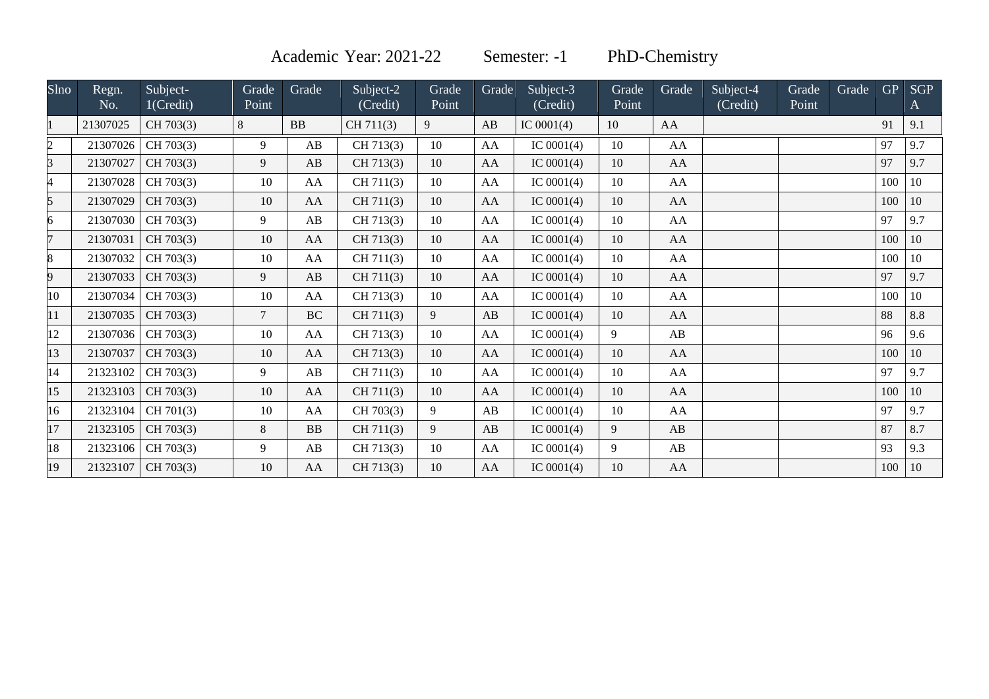Academic Year: 2021-22 Semester: -1 PhD-Chemistry

| Slno           | Regn.<br>No. | Subject-<br>1(Credit) | Grade<br>Point | Grade     | Subject-2<br>(Credit) | Grade<br>Point | Grade      | Subject-3<br>(Credit) | Grade<br>Point | Grade | Subject-4<br>(Credit) | Grade<br>Point | Grade | <b>GP</b> | <b>SGP</b><br>A |
|----------------|--------------|-----------------------|----------------|-----------|-----------------------|----------------|------------|-----------------------|----------------|-------|-----------------------|----------------|-------|-----------|-----------------|
| 11             | 21307025     | CH 703(3)             | 8              | BB        | CH 711(3)             | 9              | AB         | IC $0001(4)$          | 10             | AA    |                       |                |       | 91        | 9.1             |
| $\overline{c}$ | 21307026     | CH 703(3)             | 9              | AB        | CH 713(3)             | 10             | AA         | IC $0001(4)$          | 10             | AA    |                       |                |       | 97        | 9.7             |
| 3              | 21307027     | CH 703(3)             | 9              | AB        | CH 713(3)             | 10             | AA         | IC $0001(4)$          | 10             | AA    |                       |                |       | 97        | 9.7             |
| 4              | 21307028     | CH 703(3)             | 10             | AA        | CH 711(3)             | 10             | AA         | IC $0001(4)$          | 10             | AA    |                       |                |       | 100       | 10              |
| 5              | 21307029     | CH 703(3)             | 10             | AA        | CH 711(3)             | 10             | ${\rm AA}$ | IC $0001(4)$          | 10             | AA    |                       |                |       | 100       | 10              |
| 6              | 21307030     | CH 703(3)             | 9              | AB        | CH 713(3)             | 10             | AA         | IC $0001(4)$          | 10             | AA    |                       |                |       | 97        | 9.7             |
| 7              | 21307031     | CH 703(3)             | 10             | AA        | CH 713(3)             | 10             | AA         | IC $0001(4)$          | 10             | AA    |                       |                |       | 100       | 10              |
| 8              | 21307032     | CH 703(3)             | 10             | AA        | CH 711(3)             | 10             | AA         | IC $0001(4)$          | 10             | AA    |                       |                |       | 100       | 10              |
| 9              | 21307033     | CH 703(3)             | 9              | AB        | CH 711(3)             | 10             | AA         | IC $0001(4)$          | 10             | AA    |                       |                |       | 97        | 9.7             |
| 10             | 21307034     | CH 703(3)             | 10             | AA        | CH 713(3)             | 10             | AA         | IC $0001(4)$          | 10             | AA    |                       |                |       | 100       | 10              |
| 11             | 21307035     | CH 703(3)             | $\overline{7}$ | <b>BC</b> | CH 711(3)             | 9              | AB         | IC $0001(4)$          | 10             | AA    |                       |                |       | 88        | 8.8             |
| 12             | 21307036     | CH 703(3)             | 10             | AA        | CH 713(3)             | 10             | AA         | IC $0001(4)$          | 9              | AB    |                       |                |       | 96        | 9.6             |
| 13             | 21307037     | CH 703(3)             | 10             | AA        | CH 713(3)             | 10             | AA         | IC $0001(4)$          | 10             | AA    |                       |                |       | 100       | 10              |
| 14             | 21323102     | CH 703(3)             | 9              | AB        | CH 711(3)             | 10             | AA         | IC $0001(4)$          | 10             | AA    |                       |                |       | 97        | 9.7             |
| 15             | 21323103     | CH 703(3)             | 10             | AA        | CH 711(3)             | 10             | AA         | IC $0001(4)$          | 10             | AA    |                       |                |       | 100       | 10              |
| 16             | 21323104     | CH 701(3)             | 10             | AA        | CH 703(3)             | 9              | AB         | IC $0001(4)$          | 10             | AA    |                       |                |       | 97        | 9.7             |
| 17             | 21323105     | CH 703(3)             | 8              | BB        | CH 711(3)             | 9              | AB         | IC $0001(4)$          | 9              | AB    |                       |                |       | 87        | 8.7             |
| 18             | 21323106     | CH 703(3)             | 9              | AB        | CH 713(3)             | 10             | AA         | IC $0001(4)$          | 9              | AB    |                       |                |       | 93        | 9.3             |
| 19             | 21323107     | CH 703(3)             | 10             | AA        | CH 713(3)             | 10             | AA         | IC $0001(4)$          | 10             | AA    |                       |                |       | 100       | 10              |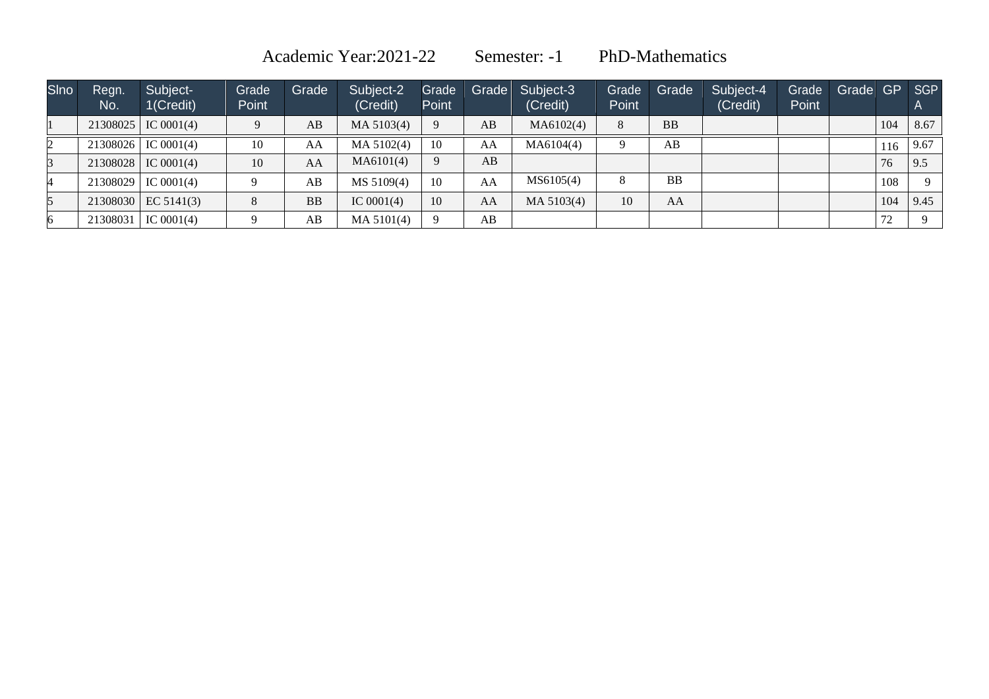Academic Year:2021-22 Semester: -1 PhD-Mathematics

| <b>SIno</b> | Regn.<br>No. | Subject-<br>1(Credit) | Grade<br>Point | Grade     | Subject-2<br>(Credit) | Grade<br>Point |    | Grade Subject-3<br>(Credit) | Grade<br>Point | Grade     | Subject-4<br>(Credit) | Grade<br>Point | Grade GP SGP |     |            |
|-------------|--------------|-----------------------|----------------|-----------|-----------------------|----------------|----|-----------------------------|----------------|-----------|-----------------------|----------------|--------------|-----|------------|
|             |              | $21308025$ IC 0001(4) | $\Omega$       | AB        | MA 5103(4)            | 9              | AB | MA6102(4)                   | 8              | <b>BB</b> |                       |                |              | 104 | 8.67       |
|             | 21308026     | IC $0001(4)$          | 10             | AA        | MA 5102(4)            | 10             | AA | MA6104(4)                   | 9              | AB        |                       |                |              |     | $116$ 9.67 |
|             |              | $21308028$ IC 0001(4) | 10             | AA        | MA6101(4)             | 9              | AB |                             |                |           |                       |                |              | 76  | 9.5        |
|             | 21308029     | IC $0001(4)$          |                | AB        | MS 5109(4)            | 10             | AA | MS6105(4)                   | 8              | <b>BB</b> |                       |                |              | 108 | $\Omega$   |
|             |              | $21308030$ EC 5141(3) | 8              | <b>BB</b> | IC $0001(4)$          | 10             | AA | MA 5103(4)                  | 10             | AA        |                       |                |              | 104 | 9.45       |
|             | 21308031     | IC $0001(4)$          |                | AB        | MA 5101(4)            | $\Omega$       | AB |                             |                |           |                       |                |              | 72  |            |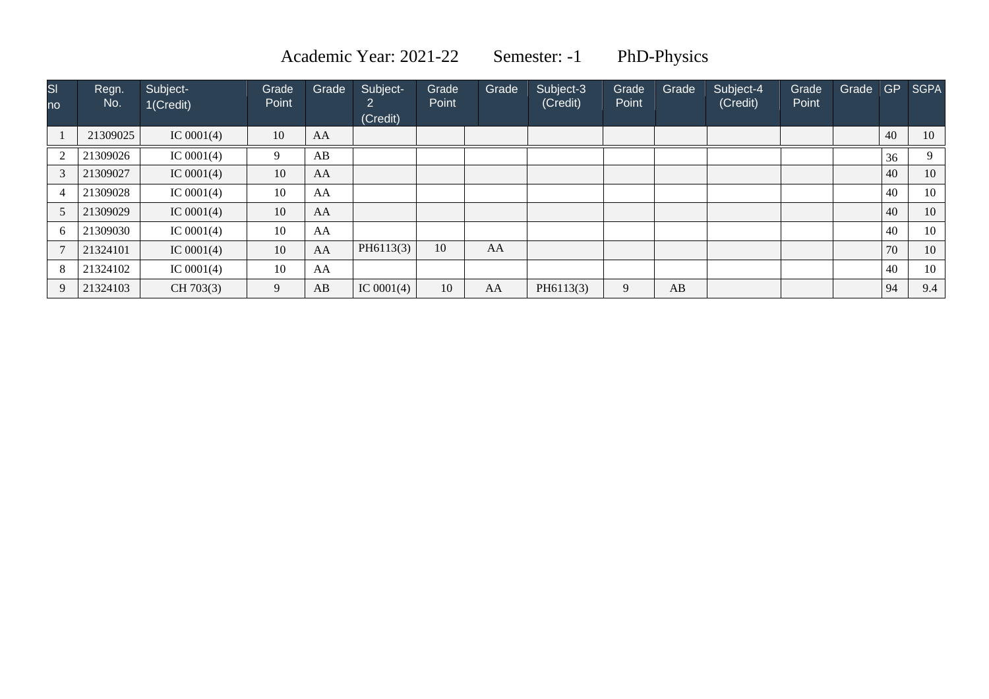Academic Year: 2021-22 Semester: -1 PhD-Physics

| $\overline{\mathsf{SI}}$<br><b>no</b> | Regn.<br>No. | Subject-<br>1(Credit) | Grade<br>Point | Grade | Subject-<br>ົ | Grade<br>Point | Grade | Subject-3<br>(Credit) | Grade<br>Point | Grade | Subject-4<br>(Credit) | Grade<br>Point | Grade | <b>GP</b> | <b>SGPA</b> |
|---------------------------------------|--------------|-----------------------|----------------|-------|---------------|----------------|-------|-----------------------|----------------|-------|-----------------------|----------------|-------|-----------|-------------|
|                                       |              |                       |                |       | (Credit)      |                |       |                       |                |       |                       |                |       |           |             |
|                                       | 21309025     | IC $0001(4)$          | 10             | AA    |               |                |       |                       |                |       |                       |                |       | 40        | 10          |
| 2                                     | 21309026     | IC $0001(4)$          | 9              | AB    |               |                |       |                       |                |       |                       |                |       | 36        | Q           |
| 3                                     | 21309027     | IC $0001(4)$          | 10             | AA    |               |                |       |                       |                |       |                       |                |       | 40        | 10          |
| $\overline{4}$                        | 21309028     | IC $0001(4)$          | 10             | AA    |               |                |       |                       |                |       |                       |                |       | 40        | 10          |
| 5                                     | 21309029     | IC $0001(4)$          | 10             | AA    |               |                |       |                       |                |       |                       |                |       | 40        | 10          |
| 6                                     | 21309030     | IC $0001(4)$          | 10             | AA    |               |                |       |                       |                |       |                       |                |       | 40        | 10          |
|                                       | 21324101     | IC $0001(4)$          | 10             | AA    | PH6113(3)     | 10             | AA    |                       |                |       |                       |                |       | 70        | 10          |
| 8                                     | 21324102     | IC $0001(4)$          | 10             | AA    |               |                |       |                       |                |       |                       |                |       | 40        | 10          |
| 9                                     | 21324103     | CH 703(3)             | 9              | AB    | IC $0001(4)$  | 10             | AA    | PH6113(3)             | 9              | AB    |                       |                |       | 94        | 9.4         |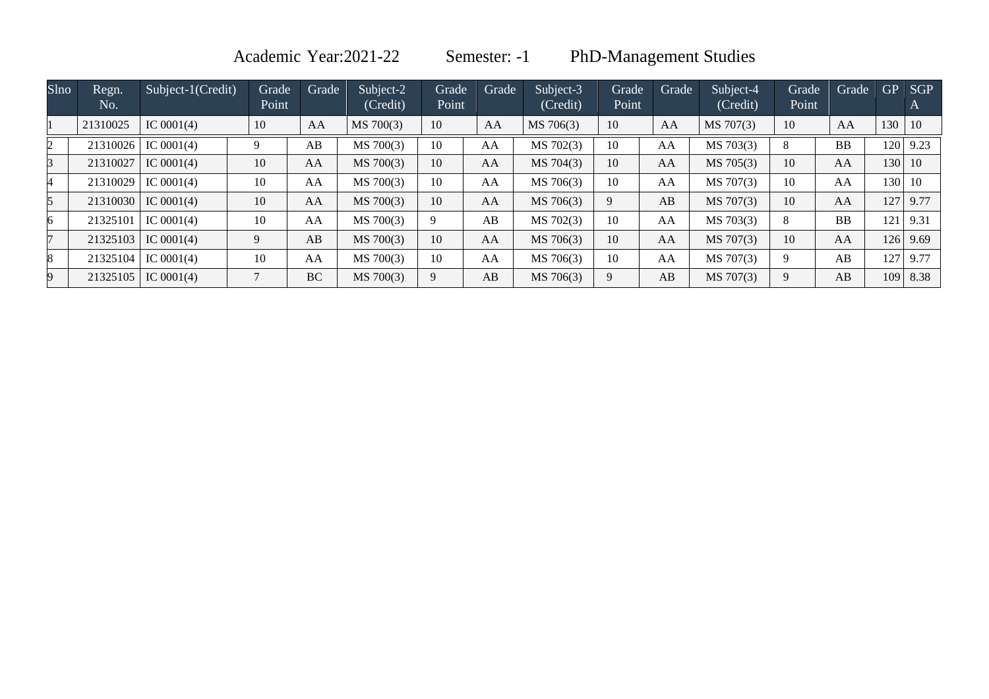Academic Year:2021-22 Semester: -1 PhD-Management Studies

| Slno | Regn.<br>No. | Subject-1(Credit) | Grade<br>Point | Grade     | Subject-2<br>(Credit) | Grade<br>Point | Grade | Subject-3<br>(Credit) | Grade<br>Point | <b>Grade</b> | Subject-4<br>(Credit) | Grade<br>Point | Grade     | <b>GP</b> | <b>SGP</b><br>$\boldsymbol{\mathsf{A}}$ |
|------|--------------|-------------------|----------------|-----------|-----------------------|----------------|-------|-----------------------|----------------|--------------|-----------------------|----------------|-----------|-----------|-----------------------------------------|
|      | 21310025     | IC $0001(4)$      | 10             | AA        | MS 700(3)             | 10             | AA    | MS 706(3)             | 10             | AA           | MS 707(3)             | 10             | AA        | 130       | -10                                     |
|      | 21310026     | IC $0001(4)$      |                | AB        | MS 700(3)             | 10             | AA    | MS 702(3)             | 10             | AA           | MS 703(3)             | 8              | <b>BB</b> | 120       | 9.23                                    |
| R.   | 21310027     | IC $0001(4)$      | 10             | AA        | MS 700(3)             | 10             | AA    | MS 704(3)             | 10             | AA           | MS 705(3)             | 10             | AA        | 130 10    |                                         |
|      | 21310029     | IC $0001(4)$      | 10             | AA        | MS 700(3)             | 10             | AA    | MS 706(3)             | 10             | AA           | MS 707(3)             | 10             | AA        | 130       | -10                                     |
| 5    | 21310030     | IC $0001(4)$      | 10             | AA        | MS 700(3)             | 10             | AA    | MS 706(3)             | 9              | AB           | MS 707(3)             | 10             | AA        | 127       | 9.77                                    |
| 6    | 21325101     | IC $0001(4)$      | 10             | AA        | MS 700(3)             | 9              | AB    | MS 702(3)             | 10             | AA           | MS 703(3)             | 8              | <b>BB</b> | 121       | 9.31                                    |
|      | 21325103     | IC $0001(4)$      | 9              | AB        | MS 700(3)             | 10             | AA    | MS 706(3)             | 10             | AA           | MS 707(3)             | 10             | AA        |           | 126 9.69                                |
| 8    | 21325104     | IC $0001(4)$      | 10             | AA        | MS 700(3)             | 10             | AA    | MS 706(3)             | 10             | AA           | MS 707(3)             | 9              | AB        | 127       | 9.77                                    |
|      | 21325105     | IC $0001(4)$      |                | <b>BC</b> | MS 700(3)             | 9              | AB    | MS 706(3)             | 9              | AB           | MS 707(3)             | 9              | AB        | 109       | 8.38                                    |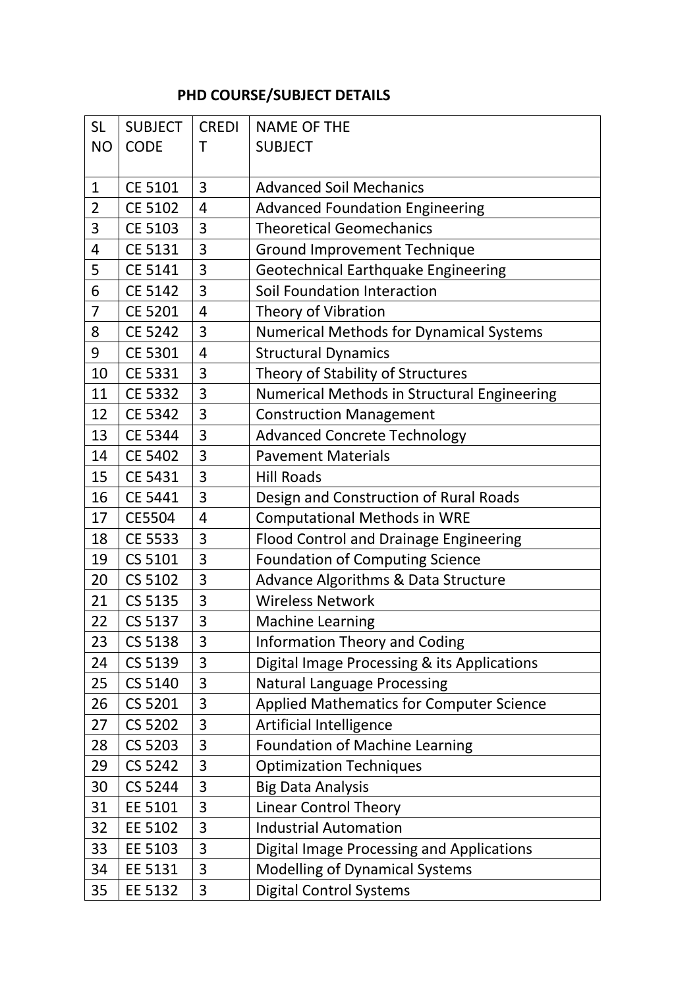## **PHD COURSE/SUBJECT DETAILS**

| <b>SL</b>      | <b>SUBJECT</b> | <b>CREDI</b>   | <b>NAME OF THE</b>                              |
|----------------|----------------|----------------|-------------------------------------------------|
| <b>NO</b>      | <b>CODE</b>    | Τ              | <b>SUBJECT</b>                                  |
|                |                |                |                                                 |
| $\mathbf{1}$   | <b>CE 5101</b> | 3              | <b>Advanced Soil Mechanics</b>                  |
| $\overline{2}$ | <b>CE 5102</b> | 4              | <b>Advanced Foundation Engineering</b>          |
| 3              | <b>CE 5103</b> | 3              | <b>Theoretical Geomechanics</b>                 |
| 4              | CE 5131        | 3              | <b>Ground Improvement Technique</b>             |
| 5              | CE 5141        | 3              | Geotechnical Earthquake Engineering             |
| 6              | <b>CE 5142</b> | 3              | Soil Foundation Interaction                     |
| $\overline{7}$ | <b>CE 5201</b> | $\overline{4}$ | Theory of Vibration                             |
| 8              | <b>CE 5242</b> | 3              | <b>Numerical Methods for Dynamical Systems</b>  |
| 9              | <b>CE 5301</b> | $\overline{4}$ | <b>Structural Dynamics</b>                      |
| 10             | CE 5331        | 3              | Theory of Stability of Structures               |
| 11             | <b>CE 5332</b> | 3              | Numerical Methods in Structural Engineering     |
| 12             | <b>CE 5342</b> | 3              | <b>Construction Management</b>                  |
| 13             | CE 5344        | 3              | <b>Advanced Concrete Technology</b>             |
| 14             | <b>CE 5402</b> | 3              | <b>Pavement Materials</b>                       |
| 15             | CE 5431        | 3              | <b>Hill Roads</b>                               |
| 16             | CE 5441        | 3              | Design and Construction of Rural Roads          |
| 17             | CE5504         | 4              | <b>Computational Methods in WRE</b>             |
| 18             | <b>CE 5533</b> | 3              | <b>Flood Control and Drainage Engineering</b>   |
| 19             | CS 5101        | 3              | <b>Foundation of Computing Science</b>          |
| 20             | CS 5102        | 3              | Advance Algorithms & Data Structure             |
| 21             | CS 5135        | 3              | <b>Wireless Network</b>                         |
| 22             | CS 5137        | 3              | <b>Machine Learning</b>                         |
| 23             | CS 5138        | 3              | <b>Information Theory and Coding</b>            |
| 24             | CS 5139        | 3              | Digital Image Processing & its Applications     |
| 25             | CS 5140        | 3              | <b>Natural Language Processing</b>              |
| 26             | CS 5201        | 3              | <b>Applied Mathematics for Computer Science</b> |
| 27             | <b>CS 5202</b> | 3              | Artificial Intelligence                         |
| 28             | CS 5203        | 3              | <b>Foundation of Machine Learning</b>           |
| 29             | CS 5242        | 3              | <b>Optimization Techniques</b>                  |
| 30             | CS 5244        | 3              | <b>Big Data Analysis</b>                        |
| 31             | EE 5101        | 3              | <b>Linear Control Theory</b>                    |
| 32             | EE 5102        | 3              | <b>Industrial Automation</b>                    |
| 33             | EE 5103        | 3              | Digital Image Processing and Applications       |
| 34             | EE 5131        | 3              | <b>Modelling of Dynamical Systems</b>           |
| 35             | EE 5132        | 3              | <b>Digital Control Systems</b>                  |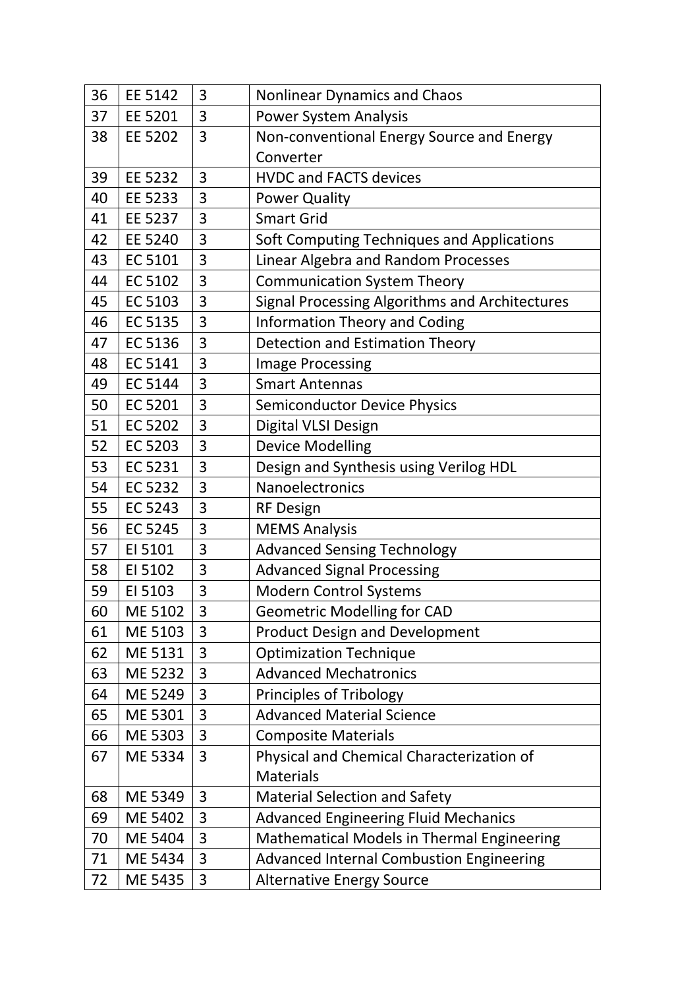| 36 | EE 5142        | 3 | <b>Nonlinear Dynamics and Chaos</b>               |
|----|----------------|---|---------------------------------------------------|
| 37 | EE 5201        | 3 | <b>Power System Analysis</b>                      |
| 38 | EE 5202        | 3 | Non-conventional Energy Source and Energy         |
|    |                |   | Converter                                         |
| 39 | EE 5232        | 3 | <b>HVDC and FACTS devices</b>                     |
| 40 | EE 5233        | 3 | <b>Power Quality</b>                              |
| 41 | EE 5237        | 3 | <b>Smart Grid</b>                                 |
| 42 | EE 5240        | 3 | Soft Computing Techniques and Applications        |
| 43 | EC 5101        | 3 | <b>Linear Algebra and Random Processes</b>        |
| 44 | EC 5102        | 3 | <b>Communication System Theory</b>                |
| 45 | EC 5103        | 3 | Signal Processing Algorithms and Architectures    |
| 46 | EC 5135        | 3 | <b>Information Theory and Coding</b>              |
| 47 | EC 5136        | 3 | <b>Detection and Estimation Theory</b>            |
| 48 | EC 5141        | 3 | <b>Image Processing</b>                           |
| 49 | <b>EC 5144</b> | 3 | <b>Smart Antennas</b>                             |
| 50 | EC 5201        | 3 | <b>Semiconductor Device Physics</b>               |
| 51 | EC 5202        | 3 | Digital VLSI Design                               |
| 52 | EC 5203        | 3 | <b>Device Modelling</b>                           |
| 53 | EC 5231        | 3 | Design and Synthesis using Verilog HDL            |
| 54 | EC 5232        | 3 | Nanoelectronics                                   |
| 55 | EC 5243        | 3 | <b>RF Design</b>                                  |
| 56 | EC 5245        | 3 | <b>MEMS Analysis</b>                              |
| 57 | EI 5101        | 3 | <b>Advanced Sensing Technology</b>                |
| 58 | EI 5102        | 3 | <b>Advanced Signal Processing</b>                 |
| 59 | EI 5103        | 3 | <b>Modern Control Systems</b>                     |
| 60 | ME 5102        | 3 | <b>Geometric Modelling for CAD</b>                |
| 61 | ME 5103        | 3 | <b>Product Design and Development</b>             |
| 62 | ME 5131        | 3 | <b>Optimization Technique</b>                     |
| 63 | ME 5232        | 3 | <b>Advanced Mechatronics</b>                      |
| 64 | ME 5249        | 3 | Principles of Tribology                           |
| 65 | ME 5301        | 3 | <b>Advanced Material Science</b>                  |
| 66 | ME 5303        | 3 | <b>Composite Materials</b>                        |
| 67 | ME 5334        | 3 | Physical and Chemical Characterization of         |
|    |                |   | <b>Materials</b>                                  |
| 68 | ME 5349        | 3 | <b>Material Selection and Safety</b>              |
| 69 | ME 5402        | 3 | <b>Advanced Engineering Fluid Mechanics</b>       |
| 70 | ME 5404        | 3 | <b>Mathematical Models in Thermal Engineering</b> |
| 71 | ME 5434        | 3 | <b>Advanced Internal Combustion Engineering</b>   |
| 72 | ME 5435        | 3 | <b>Alternative Energy Source</b>                  |